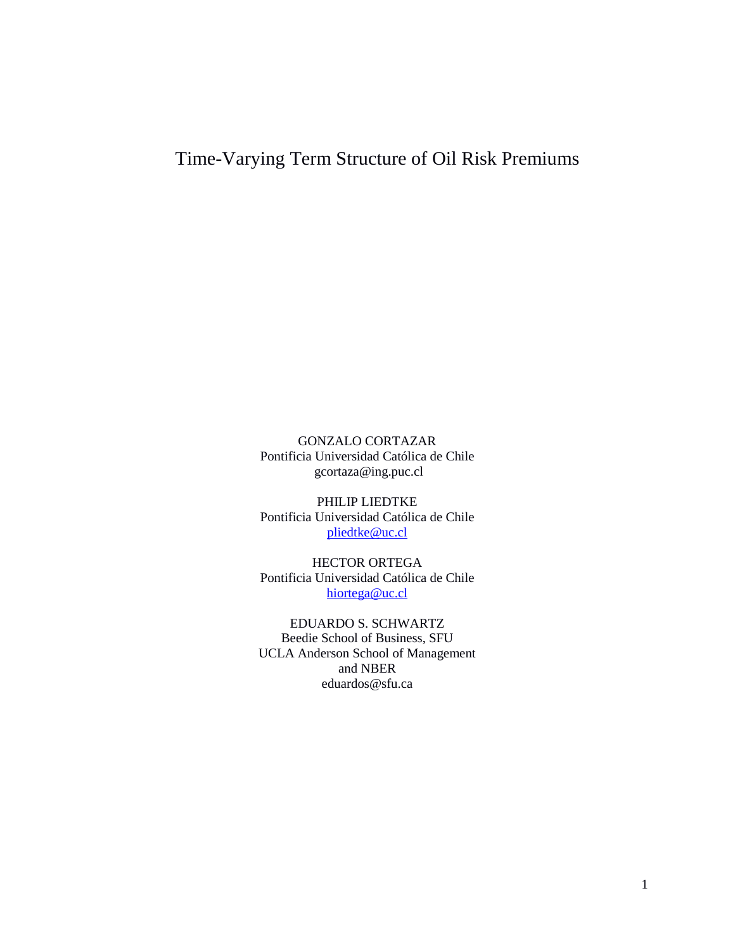# Time-Varying Term Structure of Oil Risk Premiums

GONZALO CORTAZAR Pontificia Universidad Católica de Chile gcortaza@ing.puc.cl

PHILIP LIEDTKE Pontificia Universidad Católica de Chile [pliedtke@uc.cl](mailto:pliedtke@uc.cl)

HECTOR ORTEGA Pontificia Universidad Católica de Chile [hiortega@uc.cl](mailto:hiortega@uc.cl) 

EDUARDO S. SCHWARTZ Beedie School of Business, SFU UCLA Anderson School of Management and NBER eduardos@sfu.ca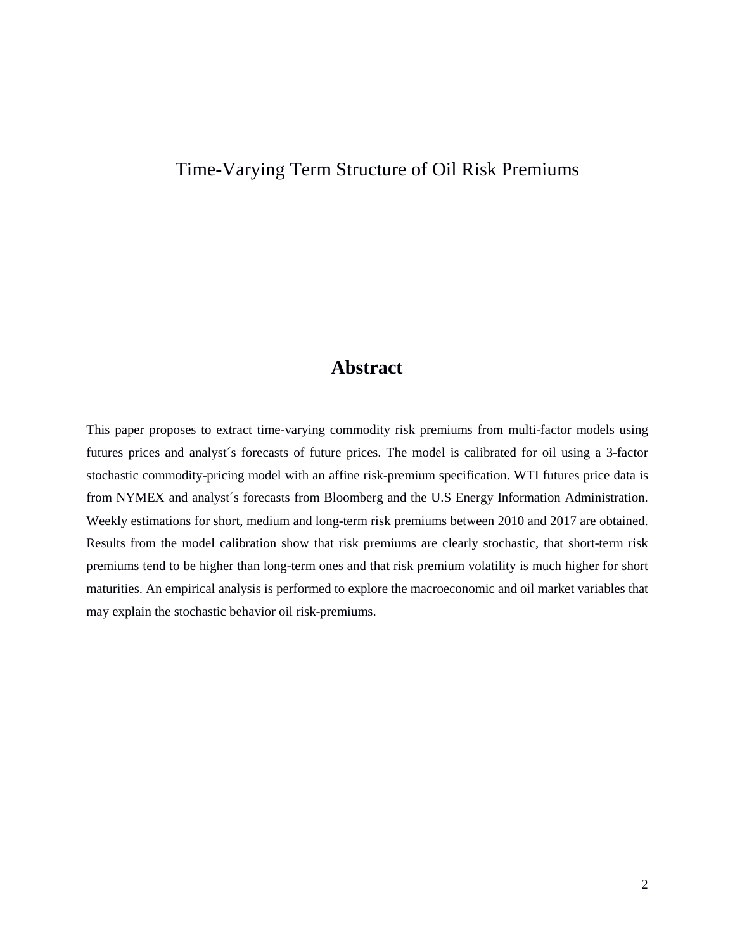# Time-Varying Term Structure of Oil Risk Premiums

# **Abstract**

This paper proposes to extract time-varying commodity risk premiums from multi-factor models using futures prices and analyst´s forecasts of future prices. The model is calibrated for oil using a 3-factor stochastic commodity-pricing model with an affine risk-premium specification. WTI futures price data is from NYMEX and analyst´s forecasts from Bloomberg and the U.S Energy Information Administration. Weekly estimations for short, medium and long-term risk premiums between 2010 and 2017 are obtained. Results from the model calibration show that risk premiums are clearly stochastic, that short-term risk premiums tend to be higher than long-term ones and that risk premium volatility is much higher for short maturities. An empirical analysis is performed to explore the macroeconomic and oil market variables that may explain the stochastic behavior oil risk-premiums.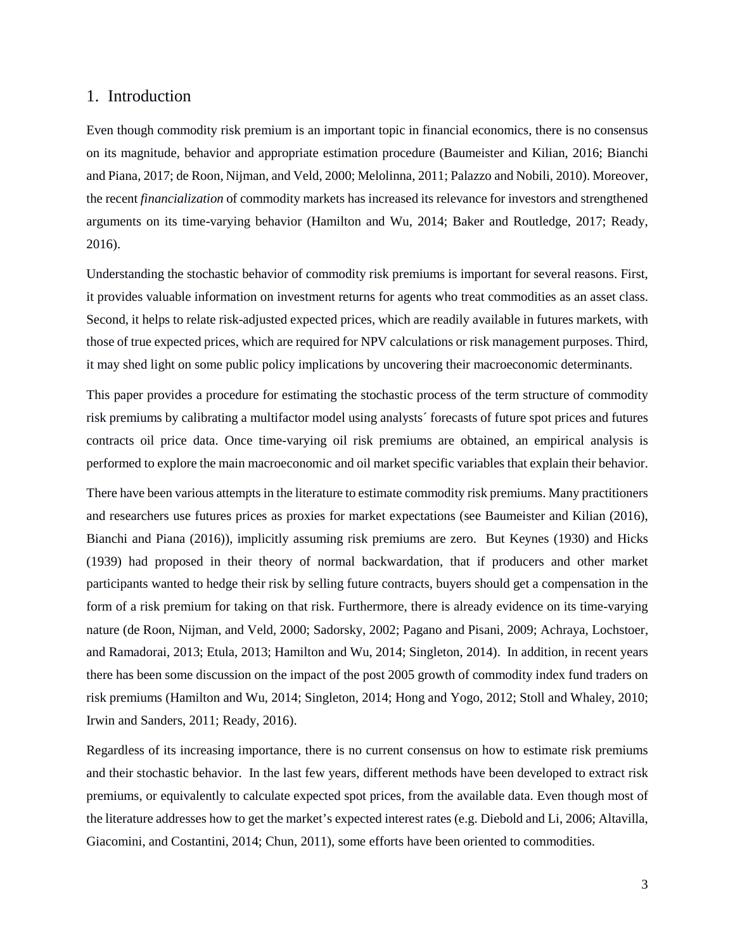#### 1. Introduction

Even though commodity risk premium is an important topic in financial economics, there is no consensus on its magnitude, behavior and appropriate estimation procedure (Baumeister and Kilian, 2016; Bianchi and Piana, 2017; de Roon, Nijman, and Veld, 2000; Melolinna, 2011; Palazzo and Nobili, 2010). Moreover, the recent *financialization* of commodity markets has increased its relevance for investors and strengthened arguments on its time-varying behavior (Hamilton and Wu, 2014; Baker and Routledge, 2017; Ready, 2016).

Understanding the stochastic behavior of commodity risk premiums is important for several reasons. First, it provides valuable information on investment returns for agents who treat commodities as an asset class. Second, it helps to relate risk-adjusted expected prices, which are readily available in futures markets, with those of true expected prices, which are required for NPV calculations or risk management purposes. Third, it may shed light on some public policy implications by uncovering their macroeconomic determinants.

This paper provides a procedure for estimating the stochastic process of the term structure of commodity risk premiums by calibrating a multifactor model using analysts´ forecasts of future spot prices and futures contracts oil price data. Once time-varying oil risk premiums are obtained, an empirical analysis is performed to explore the main macroeconomic and oil market specific variables that explain their behavior.

There have been various attempts in the literature to estimate commodity risk premiums. Many practitioners and researchers use futures prices as proxies for market expectations (see Baumeister and Kilian (2016), Bianchi and Piana (2016)), implicitly assuming risk premiums are zero. But Keynes (1930) and Hicks (1939) had proposed in their theory of normal backwardation, that if producers and other market participants wanted to hedge their risk by selling future contracts, buyers should get a compensation in the form of a risk premium for taking on that risk. Furthermore, there is already evidence on its time-varying nature (de Roon, Nijman, and Veld, 2000; Sadorsky, 2002; Pagano and Pisani, 2009; Achraya, Lochstoer, and Ramadorai, 2013; Etula, 2013; Hamilton and Wu, 2014; Singleton, 2014). In addition, in recent years there has been some discussion on the impact of the post 2005 growth of commodity index fund traders on risk premiums (Hamilton and Wu, 2014; Singleton, 2014; Hong and Yogo, 2012; Stoll and Whaley, 2010; Irwin and Sanders, 2011; Ready, 2016).

Regardless of its increasing importance, there is no current consensus on how to estimate risk premiums and their stochastic behavior. In the last few years, different methods have been developed to extract risk premiums, or equivalently to calculate expected spot prices, from the available data. Even though most of the literature addresses how to get the market's expected interest rates (e.g. Diebold and Li, 2006; Altavilla, Giacomini, and Costantini, 2014; Chun, 2011), some efforts have been oriented to commodities.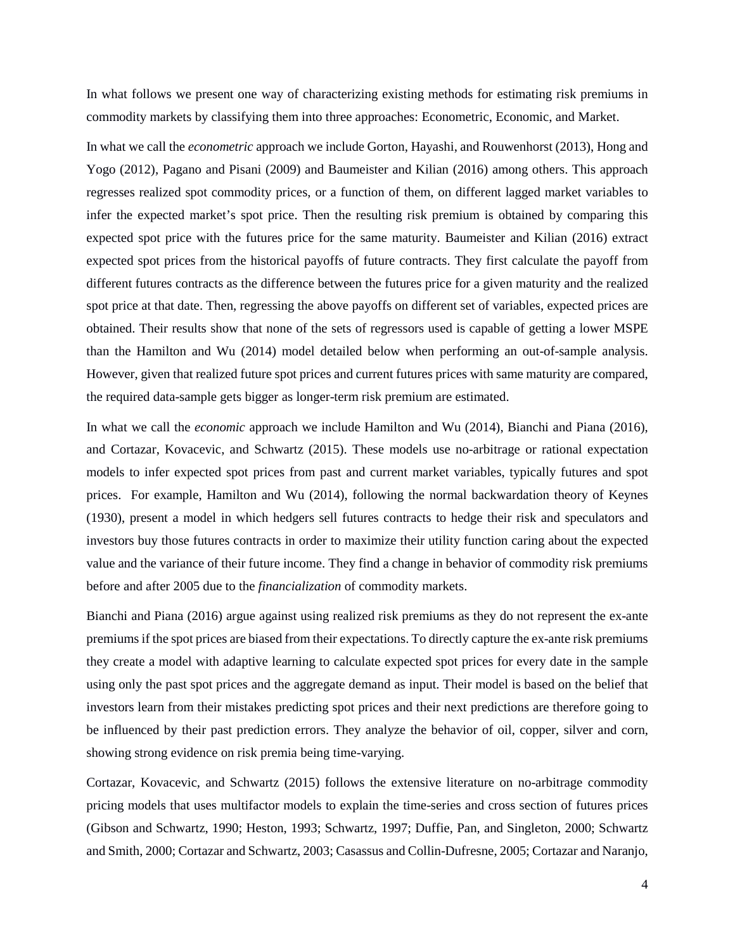In what follows we present one way of characterizing existing methods for estimating risk premiums in commodity markets by classifying them into three approaches: Econometric, Economic, and Market.

In what we call the *econometric* approach we include Gorton, Hayashi, and Rouwenhorst (2013), Hong and Yogo (2012), Pagano and Pisani (2009) and Baumeister and Kilian (2016) among others. This approach regresses realized spot commodity prices, or a function of them, on different lagged market variables to infer the expected market's spot price. Then the resulting risk premium is obtained by comparing this expected spot price with the futures price for the same maturity. Baumeister and Kilian (2016) extract expected spot prices from the historical payoffs of future contracts. They first calculate the payoff from different futures contracts as the difference between the futures price for a given maturity and the realized spot price at that date. Then, regressing the above payoffs on different set of variables, expected prices are obtained. Their results show that none of the sets of regressors used is capable of getting a lower MSPE than the Hamilton and Wu (2014) model detailed below when performing an out-of-sample analysis. However, given that realized future spot prices and current futures prices with same maturity are compared, the required data-sample gets bigger as longer-term risk premium are estimated.

In what we call the *economic* approach we include Hamilton and Wu (2014), Bianchi and Piana (2016), and Cortazar, Kovacevic, and Schwartz (2015). These models use no-arbitrage or rational expectation models to infer expected spot prices from past and current market variables, typically futures and spot prices. For example, Hamilton and Wu (2014), following the normal backwardation theory of Keynes (1930), present a model in which hedgers sell futures contracts to hedge their risk and speculators and investors buy those futures contracts in order to maximize their utility function caring about the expected value and the variance of their future income. They find a change in behavior of commodity risk premiums before and after 2005 due to the *financialization* of commodity markets.

Bianchi and Piana (2016) argue against using realized risk premiums as they do not represent the ex-ante premiums if the spot prices are biased from their expectations. To directly capture the ex-ante risk premiums they create a model with adaptive learning to calculate expected spot prices for every date in the sample using only the past spot prices and the aggregate demand as input. Their model is based on the belief that investors learn from their mistakes predicting spot prices and their next predictions are therefore going to be influenced by their past prediction errors. They analyze the behavior of oil, copper, silver and corn, showing strong evidence on risk premia being time-varying.

Cortazar, Kovacevic, and Schwartz (2015) follows the extensive literature on no-arbitrage commodity pricing models that uses multifactor models to explain the time-series and cross section of futures prices (Gibson and Schwartz, 1990; Heston, 1993; Schwartz, 1997; Duffie, Pan, and Singleton, 2000; Schwartz and Smith, 2000; Cortazar and Schwartz, 2003; Casassus and Collin-Dufresne, 2005; Cortazar and Naranjo,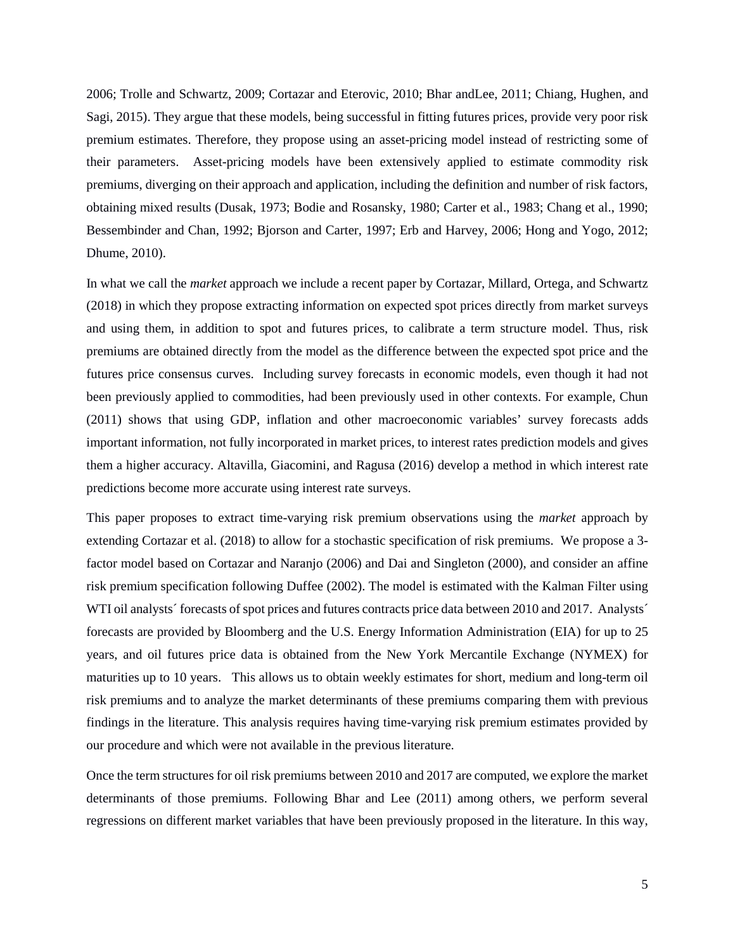2006; Trolle and Schwartz, 2009; Cortazar and Eterovic, 2010; Bhar andLee, 2011; Chiang, Hughen, and Sagi, 2015). They argue that these models, being successful in fitting futures prices, provide very poor risk premium estimates. Therefore, they propose using an asset-pricing model instead of restricting some of their parameters. Asset-pricing models have been extensively applied to estimate commodity risk premiums, diverging on their approach and application, including the definition and number of risk factors, obtaining mixed results (Dusak, 1973; Bodie and Rosansky, 1980; Carter et al., 1983; Chang et al., 1990; Bessembinder and Chan, 1992; Bjorson and Carter, 1997; Erb and Harvey, 2006; Hong and Yogo, 2012; Dhume, 2010).

In what we call the *market* approach we include a recent paper by Cortazar, Millard, Ortega, and Schwartz (2018) in which they propose extracting information on expected spot prices directly from market surveys and using them, in addition to spot and futures prices, to calibrate a term structure model. Thus, risk premiums are obtained directly from the model as the difference between the expected spot price and the futures price consensus curves. Including survey forecasts in economic models, even though it had not been previously applied to commodities, had been previously used in other contexts. For example, Chun (2011) shows that using GDP, inflation and other macroeconomic variables' survey forecasts adds important information, not fully incorporated in market prices, to interest rates prediction models and gives them a higher accuracy. Altavilla, Giacomini, and Ragusa (2016) develop a method in which interest rate predictions become more accurate using interest rate surveys.

This paper proposes to extract time-varying risk premium observations using the *market* approach by extending Cortazar et al. (2018) to allow for a stochastic specification of risk premiums. We propose a 3 factor model based on Cortazar and Naranjo (2006) and Dai and Singleton (2000), and consider an affine risk premium specification following Duffee (2002). The model is estimated with the Kalman Filter using WTI oil analysts´ forecasts of spot prices and futures contracts price data between 2010 and 2017. Analysts´ forecasts are provided by Bloomberg and the U.S. Energy Information Administration (EIA) for up to 25 years, and oil futures price data is obtained from the New York Mercantile Exchange (NYMEX) for maturities up to 10 years. This allows us to obtain weekly estimates for short, medium and long-term oil risk premiums and to analyze the market determinants of these premiums comparing them with previous findings in the literature. This analysis requires having time-varying risk premium estimates provided by our procedure and which were not available in the previous literature.

Once the term structures for oil risk premiums between 2010 and 2017 are computed, we explore the market determinants of those premiums. Following Bhar and Lee (2011) among others, we perform several regressions on different market variables that have been previously proposed in the literature. In this way,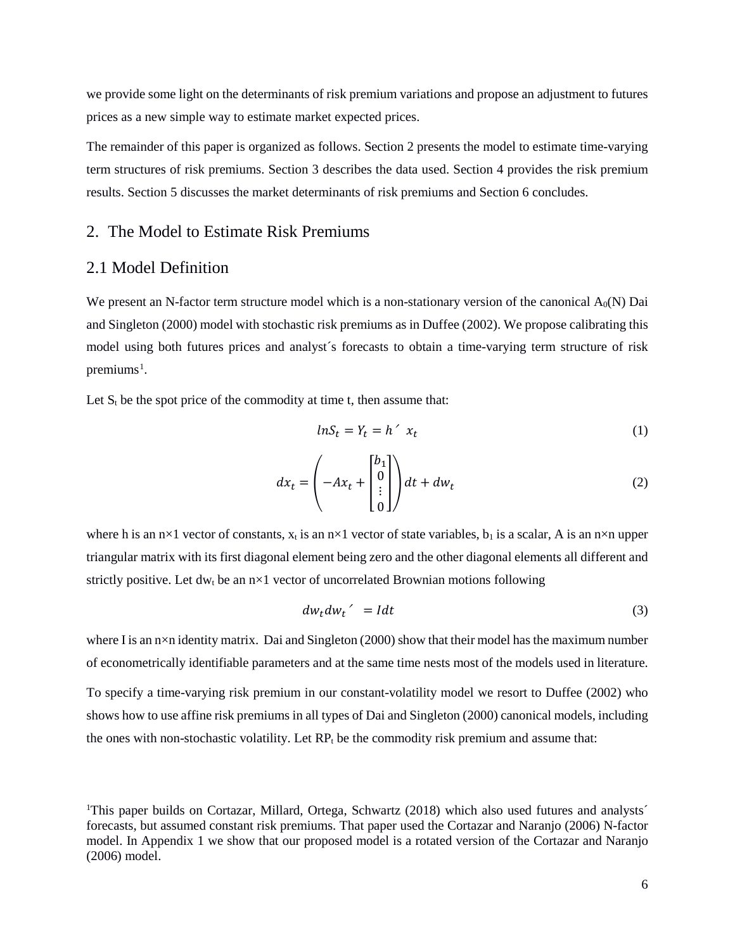we provide some light on the determinants of risk premium variations and propose an adjustment to futures prices as a new simple way to estimate market expected prices.

The remainder of this paper is organized as follows. Section 2 presents the model to estimate time-varying term structures of risk premiums. Section 3 describes the data used. Section 4 provides the risk premium results. Section 5 discusses the market determinants of risk premiums and Section 6 concludes.

#### 2. The Model to Estimate Risk Premiums

#### 2.1 Model Definition

We present an N-factor term structure model which is a non-stationary version of the canonical  $A_0(N)$  Dai and Singleton (2000) model with stochastic risk premiums as in Duffee (2002). We propose calibrating this model using both futures prices and analyst´s forecasts to obtain a time-varying term structure of risk premiums<sup>[1](#page-5-0)</sup>.

Let  $S_t$  be the spot price of the commodity at time t, then assume that:

<span id="page-5-1"></span>
$$
lnS_t = Y_t = h' x_t \tag{1}
$$

$$
dx_t = \left(-Ax_t + \begin{bmatrix} b_1 \\ 0 \\ \vdots \\ 0 \end{bmatrix}\right) dt + dw_t \tag{2}
$$

where h is an  $n \times 1$  vector of constants,  $x_t$  is an  $n \times 1$  vector of state variables,  $b_1$  is a scalar, A is an  $n \times n$  upper triangular matrix with its first diagonal element being zero and the other diagonal elements all different and strictly positive. Let dw<sub>t</sub> be an  $n \times 1$  vector of uncorrelated Brownian motions following

$$
dw_t dw_t' = I dt \tag{3}
$$

where I is an n×n identity matrix. Dai and Singleton (2000) show that their model has the maximum number of econometrically identifiable parameters and at the same time nests most of the models used in literature.

To specify a time-varying risk premium in our constant-volatility model we resort to Duffee (2002) who shows how to use affine risk premiums in all types of Dai and Singleton (2000) canonical models, including the ones with non-stochastic volatility. Let  $RP_t$  be the commodity risk premium and assume that:

<span id="page-5-0"></span><sup>&</sup>lt;sup>1</sup>This paper builds on Cortazar, Millard, Ortega, Schwartz (2018) which also used futures and analysts<sup>2</sup> forecasts, but assumed constant risk premiums. That paper used the Cortazar and Naranjo (2006) N-factor model. In Appendix 1 we show that our proposed model is a rotated version of the Cortazar and Naranjo (2006) model.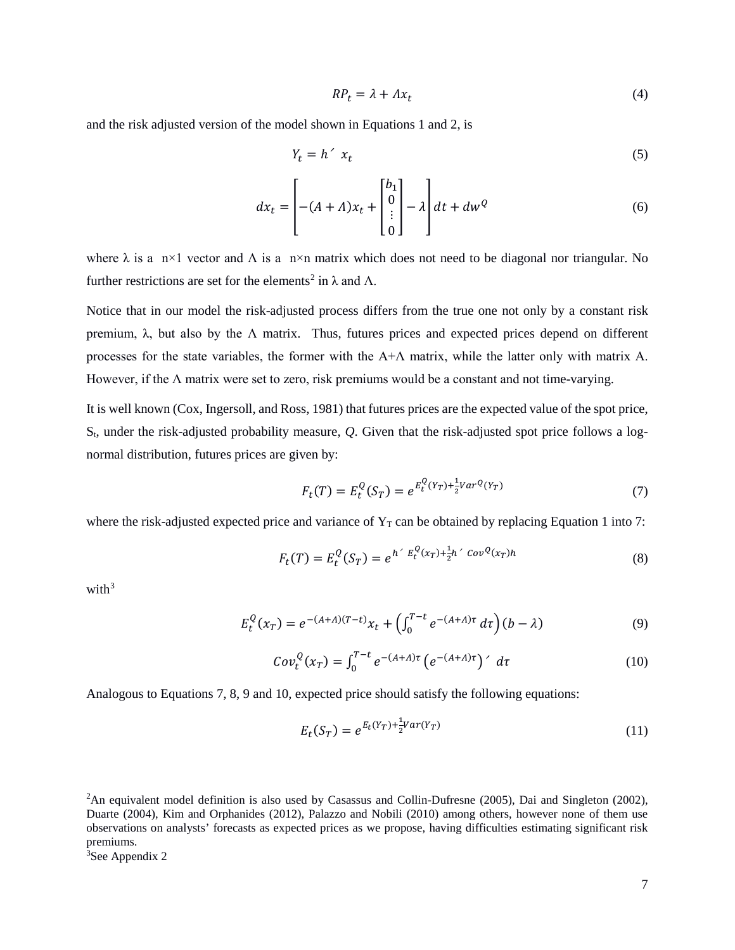$$
RP_t = \lambda + \Lambda x_t \tag{4}
$$

and the risk adjusted version of the model shown in Equations 1 and 2, is

$$
Y_t = h' \, x_t \tag{5}
$$

$$
dx_t = \left[ -(A + A)x_t + \begin{bmatrix} b_1 \\ 0 \\ \vdots \\ 0 \end{bmatrix} - \lambda \right] dt + dw^Q \tag{6}
$$

where  $\lambda$  is a n×1 vector and  $\Lambda$  is a n×n matrix which does not need to be diagonal nor triangular. No further restrictions are set for the elements<sup>[2](#page-6-0)</sup> in  $\lambda$  and  $\Lambda$ .

Notice that in our model the risk-adjusted process differs from the true one not only by a constant risk premium, λ, but also by the Λ matrix. Thus, futures prices and expected prices depend on different processes for the state variables, the former with the A+Λ matrix, while the latter only with matrix A. However, if the  $\Lambda$  matrix were set to zero, risk premiums would be a constant and not time-varying.

It is well known (Cox, Ingersoll, and Ross, 1981) that futures prices are the expected value of the spot price, St, under the risk-adjusted probability measure, *Q*. Given that the risk-adjusted spot price follows a lognormal distribution, futures prices are given by:

$$
F_t(T) = E_t^Q(S_T) = e^{E_t^Q(Y_T) + \frac{1}{2}Var^Q(Y_T)}
$$
\n(7)

where the risk-adjusted expected price and variance of  $Y_T$  can be obtained by replacing Equation 1 into 7:

$$
F_t(T) = E_t^Q(S_T) = e^{h' E_t^Q(x_T) + \frac{1}{2}h' Cov^Q(x_T)h}
$$
\n(8)

with $3$ 

$$
E_t^Q(x_T) = e^{-(A+A)(T-t)}x_t + \left(\int_0^{T-t} e^{-(A+A)\tau} d\tau\right)(b-\lambda)
$$
\n(9)

$$
Cov_t^Q(x_T) = \int_0^{T-t} e^{-(A+A)\tau} \left( e^{-(A+A)\tau} \right)' d\tau \tag{10}
$$

Analogous to Equations 7, 8, 9 and 10, expected price should satisfy the following equations:

<span id="page-6-3"></span><span id="page-6-2"></span>
$$
E_t(S_T) = e^{E_t(Y_T) + \frac{1}{2}Var(Y_T)}
$$
\n(11)

<span id="page-6-0"></span><sup>&</sup>lt;sup>2</sup>An equivalent model definition is also used by Casassus and Collin-Dufresne (2005), Dai and Singleton (2002), Duarte (2004), Kim and Orphanides (2012), Palazzo and Nobili (2010) among others, however none of them use observations on analysts' forecasts as expected prices as we propose, having difficulties estimating significant risk premiums.

<span id="page-6-1"></span><sup>&</sup>lt;sup>3</sup>See Appendix 2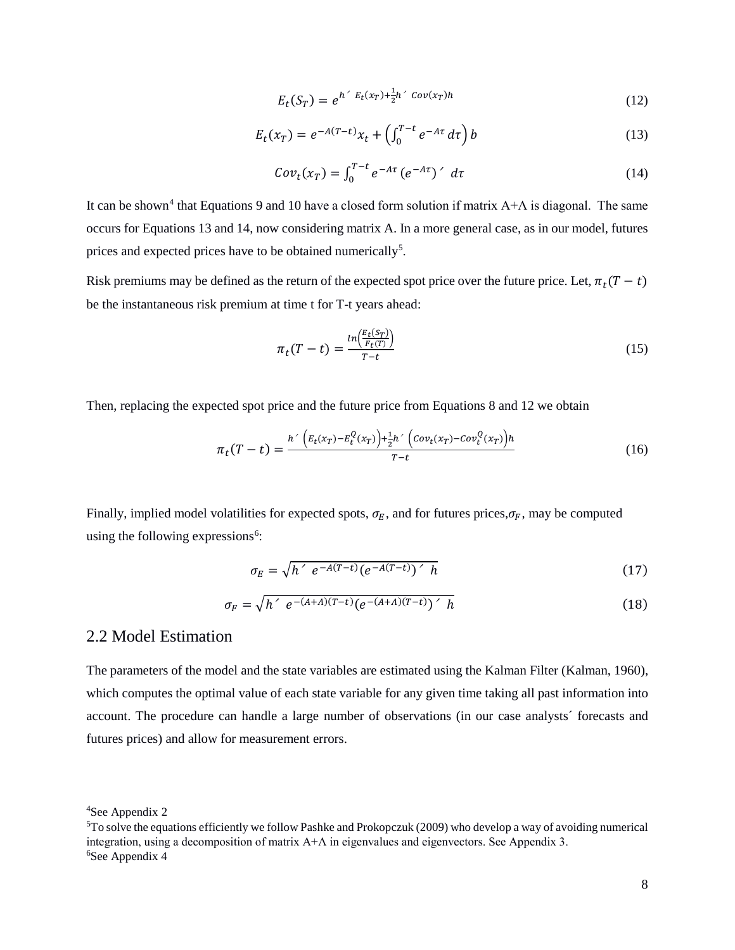<span id="page-7-0"></span>
$$
E_t(S_T) = e^{h' E_t(x_T) + \frac{1}{2}h' Cov(x_T)h}
$$
\n
$$
(12)
$$

$$
E_t(x_T) = e^{-A(T-t)}x_t + \left(\int_0^{T-t} e^{-A\tau} d\tau\right) b \tag{13}
$$

<span id="page-7-1"></span>
$$
Cov_t(x_T) = \int_0^{T-t} e^{-A\tau} \left(e^{-A\tau}\right)' d\tau \tag{14}
$$

It can be shown<sup>[4](#page-7-2)</sup> that Equations [9](#page-6-2) an[d 10](#page-6-3) have a closed form solution if matrix  $A+A$  is diagonal. The same occurs for Equations [13](#page-7-0) and [14,](#page-7-1) now considering matrix A. In a more general case, as in our model, futures prices and expected prices have to be obtained numerically<sup>[5](#page-7-3)</sup>.

Risk premiums may be defined as the return of the expected spot price over the future price. Let,  $\pi_t(T - t)$ be the instantaneous risk premium at time t for T-t years ahead:

$$
\pi_t(T-t) = \frac{\ln\left(\frac{E_t(S_T)}{F_t(T)}\right)}{T-t} \tag{15}
$$

Then, replacing the expected spot price and the future price from Equations 8 and 12 we obtain

$$
\pi_t(T-t) = \frac{h' \left( E_t(x_T) - E_t^Q(x_T) \right) + \frac{1}{2} h' \left( Cov_t(x_T) - Cov_t^Q(x_T) \right) h}{T-t}
$$
(16)

Finally, implied model volatilities for expected spots,  $\sigma_E$ , and for futures prices,  $\sigma_F$ , may be computed using the following expressions<sup>[6](#page-7-4)</sup>:

$$
\sigma_E = \sqrt{h' e^{-A(T-t)} (e^{-A(T-t)})' h} \tag{17}
$$

$$
\sigma_F = \sqrt{h' e^{-(A+A)(T-t)} (e^{-(A+A)(T-t)})' h}
$$
\n(18)

### 2.2 Model Estimation

The parameters of the model and the state variables are estimated using the Kalman Filter (Kalman, 1960), which computes the optimal value of each state variable for any given time taking all past information into account. The procedure can handle a large number of observations (in our case analysts´ forecasts and futures prices) and allow for measurement errors.

<span id="page-7-2"></span><sup>4</sup> See Appendix 2

<span id="page-7-4"></span><span id="page-7-3"></span><sup>5</sup> To solve the equations efficiently we follow Pashke and Prokopczuk (2009) who develop a way of avoiding numerical integration, using a decomposition of matrix  $A+A$  in eigenvalues and eigenvectors. See Appendix 3. <sup>6</sup>See Appendix 4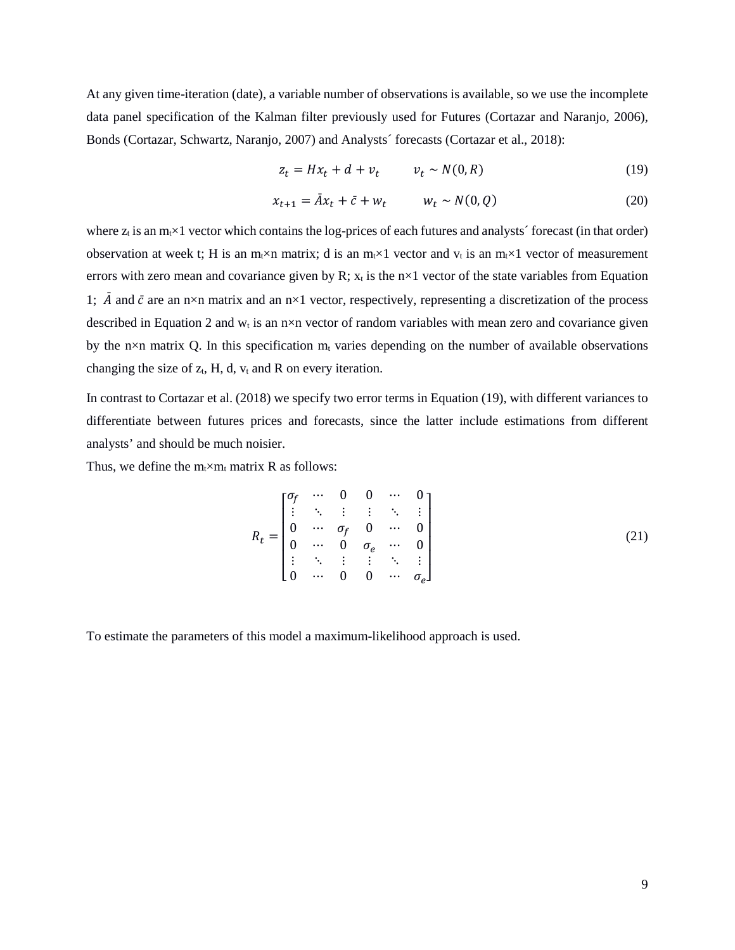At any given time-iteration (date), a variable number of observations is available, so we use the incomplete data panel specification of the Kalman filter previously used for Futures (Cortazar and Naranjo, 2006), Bonds (Cortazar, Schwartz, Naranjo, 2007) and Analysts´ forecasts (Cortazar et al., 2018):

$$
z_t = Hx_t + d + v_t \qquad v_t \sim N(0, R) \tag{19}
$$

$$
x_{t+1} = \overline{A}x_t + \overline{c} + w_t \qquad w_t \sim N(0, Q) \tag{20}
$$

where  $z_t$  is an  $m_t \times 1$  vector which contains the log-prices of each futures and analysts´ forecast (in that order) observation at week t; H is an m<sub>t</sub>×n matrix; d is an m<sub>t</sub>×1 vector and  $v_t$  is an m<sub>t</sub>×1 vector of measurement errors with zero mean and covariance given by R;  $x_t$  is the  $n \times 1$  vector of the state variables from Equation 1;  $\overline{A}$  and  $\overline{c}$  are an n×n matrix and an n×1 vector, respectively, representing a discretization of the process described in Equation 2 and  $w_t$  is an n×n vector of random variables with mean zero and covariance given by the n×n matrix Q. In this specification  $m_t$  varies depending on the number of available observations changing the size of  $z_t$ , H, d,  $v_t$  and R on every iteration.

In contrast to Cortazar et al. (2018) we specify two error terms in Equation (19), with different variances to differentiate between futures prices and forecasts, since the latter include estimations from different analysts' and should be much noisier.

Thus, we define the  $m_t \times m_t$  matrix R as follows:

$$
R_{t} = \begin{bmatrix} \sigma_{f} & \cdots & 0 & 0 & \cdots & 0 \\ \vdots & \ddots & \vdots & \vdots & \ddots & \vdots \\ 0 & \cdots & \sigma_{f} & 0 & \cdots & 0 \\ 0 & \cdots & 0 & \sigma_{e} & \cdots & 0 \\ \vdots & \ddots & \vdots & \vdots & \ddots & \vdots \\ 0 & \cdots & 0 & 0 & \cdots & \sigma_{e} \end{bmatrix}
$$
(21)

To estimate the parameters of this model a maximum-likelihood approach is used.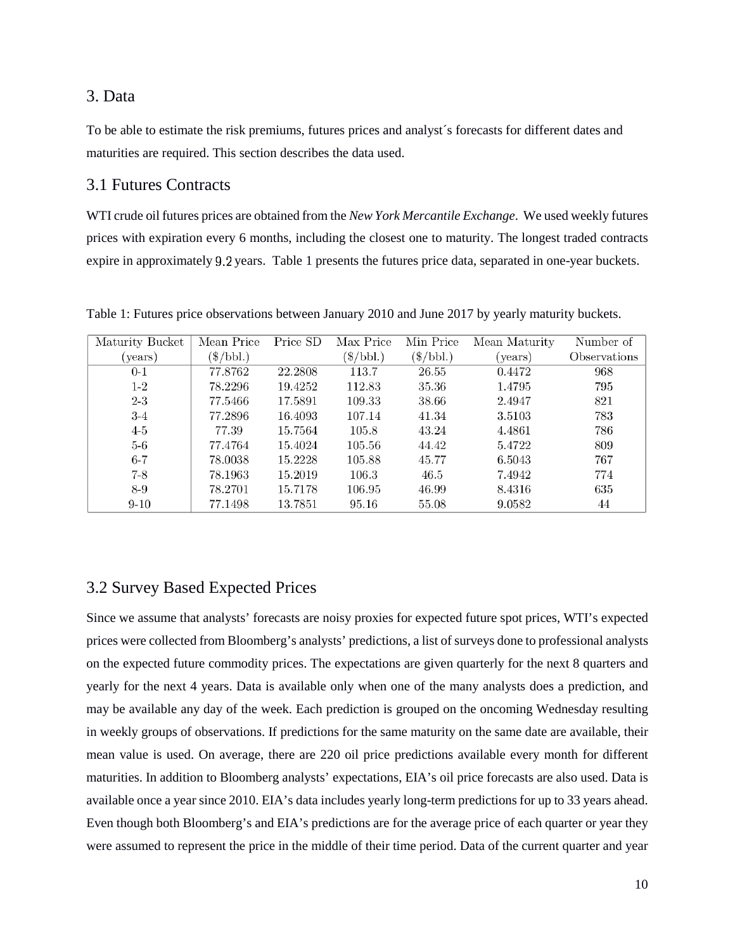### 3. Data

To be able to estimate the risk premiums, futures prices and analyst´s forecasts for different dates and maturities are required. This section describes the data used.

### 3.1 Futures Contracts

WTI crude oil futures prices are obtained from the *New York Mercantile Exchange*. We used weekly futures prices with expiration every 6 months, including the closest one to maturity. The longest traded contracts expire in approximately 9.2 years. Table 1 presents the futures price data, separated in one-year buckets.

| Maturity Bucket | Mean Price        | Price SD | Max Price          | Min Price         | Mean Maturity | Number of           |
|-----------------|-------------------|----------|--------------------|-------------------|---------------|---------------------|
| (years)         | $(\$/\text{bbl})$ |          | $(\$/\text{bbl.})$ | $(\$/\text{bbl})$ | (years)       | <i>Observations</i> |
| $0 - 1$         | 77.8762           | 22.2808  | 113.7              | 26.55             | 0.4472        | 968                 |
| $1 - 2$         | 78.2296           | 19.4252  | 112.83             | 35.36             | 1.4795        | 795                 |
| $2 - 3$         | 77.5466           | 17.5891  | 109.33             | 38.66             | 2.4947        | 821                 |
| $3-4$           | 77.2896           | 16.4093  | 107.14             | 41.34             | 3.5103        | 783                 |
| $4-5$           | 77.39             | 15.7564  | 105.8              | 43.24             | 4.4861        | 786                 |
| $5-6$           | 77.4764           | 15.4024  | 105.56             | 44.42             | 5.4722        | 809                 |
| $6 - 7$         | 78.0038           | 15.2228  | 105.88             | 45.77             | 6.5043        | 767                 |
| $7 - 8$         | 78.1963           | 15.2019  | 106.3              | 46.5              | 7.4942        | 774                 |
| $8 - 9$         | 78.2701           | 15.7178  | 106.95             | 46.99             | 8.4316        | 635                 |
| $9-10$          | 77.1498           | 13.7851  | 95.16              | 55.08             | 9.0582        | 44                  |

Table 1: Futures price observations between January 2010 and June 2017 by yearly maturity buckets.

### 3.2 Survey Based Expected Prices

Since we assume that analysts' forecasts are noisy proxies for expected future spot prices, WTI's expected prices were collected from Bloomberg's analysts' predictions, a list of surveys done to professional analysts on the expected future commodity prices. The expectations are given quarterly for the next 8 quarters and yearly for the next 4 years. Data is available only when one of the many analysts does a prediction, and may be available any day of the week. Each prediction is grouped on the oncoming Wednesday resulting in weekly groups of observations. If predictions for the same maturity on the same date are available, their mean value is used. On average, there are 220 oil price predictions available every month for different maturities. In addition to Bloomberg analysts' expectations, EIA's oil price forecasts are also used. Data is available once a year since 2010. EIA's data includes yearly long-term predictions for up to 33 years ahead. Even though both Bloomberg's and EIA's predictions are for the average price of each quarter or year they were assumed to represent the price in the middle of their time period. Data of the current quarter and year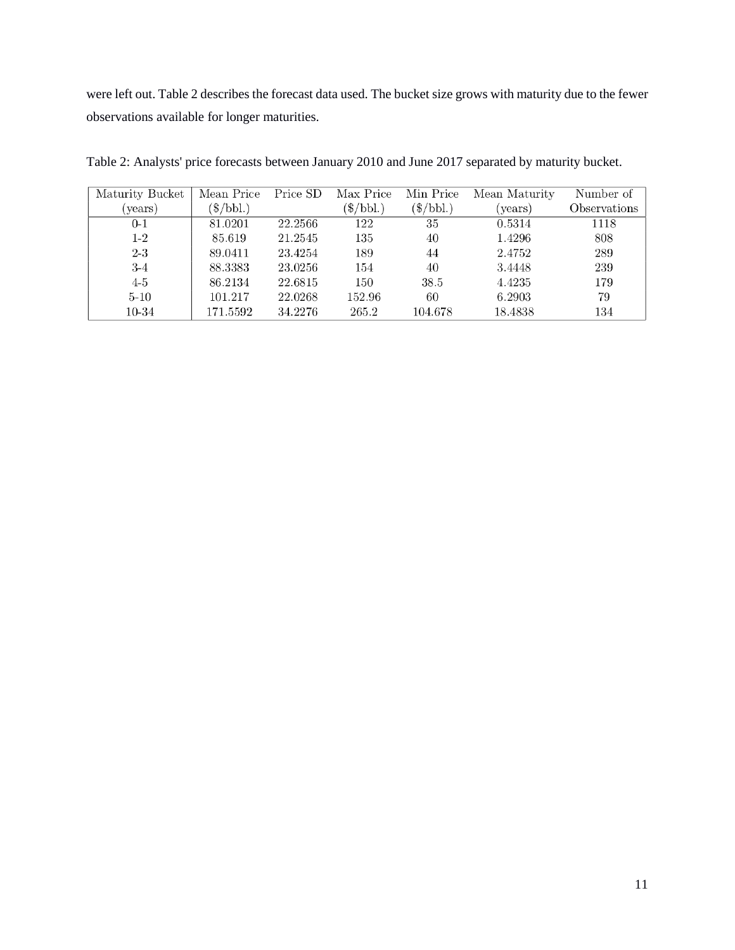were left out. Table 2 describes the forecast data used. The bucket size grows with maturity due to the fewer observations available for longer maturities.

| Maturity Bucket | Mean Price  | Price SD | Max Price   | Min Price   | Mean Maturity | Number of           |
|-----------------|-------------|----------|-------------|-------------|---------------|---------------------|
| (years)         | $(\$/bbl.)$ |          | $(\$/bbl.)$ | $(\$/bbl.)$ | (years)       | <b>Observations</b> |
| $0 - 1$         | 81.0201     | 22.2566  | 122         | 35          | 0.5314        | 1118                |
| $1-2$           | 85.619      | 21.2545  | 135         | 40          | 1.4296        | 808                 |
| $2 - 3$         | 89.0411     | 23.4254  | 189         | 44          | 2.4752        | 289                 |
| $3-4$           | 88.3383     | 23.0256  | 154         | 40          | 3.4448        | 239                 |
| $4-5$           | 86.2134     | 22.6815  | 150         | 38.5        | 4.4235        | 179                 |
| $5 - 10$        | 101.217     | 22.0268  | 152.96      | 60          | 6.2903        | 79                  |
| 10-34           | 171.5592    | 34.2276  | 265.2       | 104.678     | 18.4838       | 134                 |

Table 2: Analysts' price forecasts between January 2010 and June 2017 separated by maturity bucket.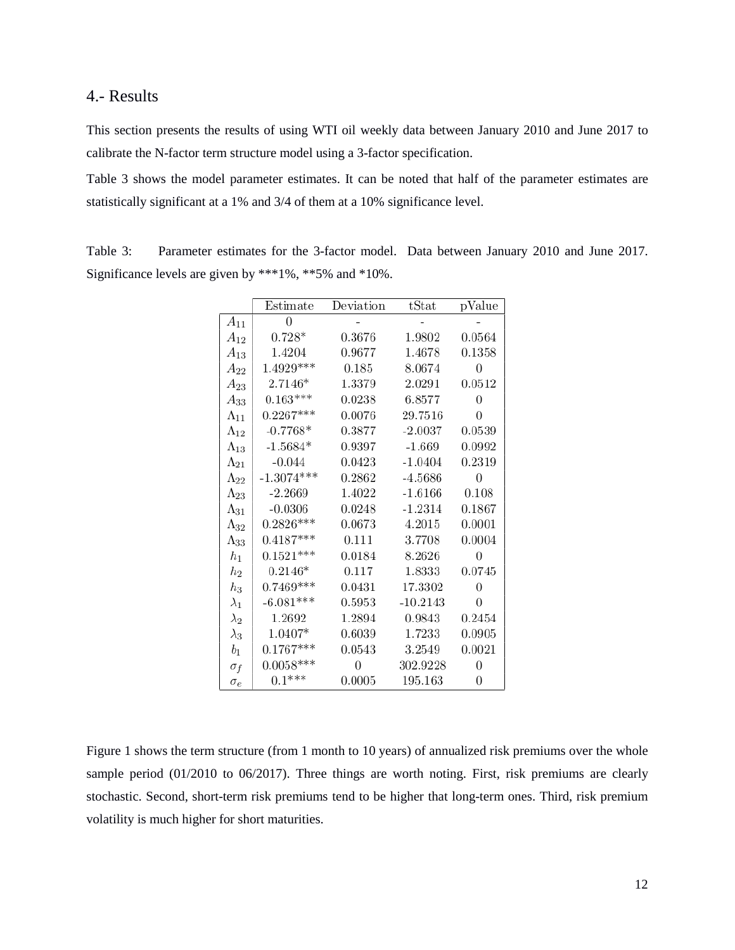#### 4.- Results

This section presents the results of using WTI oil weekly data between January 2010 and June 2017 to calibrate the N-factor term structure model using a 3-factor specification.

Table 3 shows the model parameter estimates. It can be noted that half of the parameter estimates are statistically significant at a 1% and 3/4 of them at a 10% significance level.

Table 3: Parameter estimates for the 3-factor model. Data between January 2010 and June 2017. Significance levels are given by \*\*\*1%, \*\*5% and \*10%.

|                | Estimate     | Deviation | tStat      | pValue |
|----------------|--------------|-----------|------------|--------|
| $A_{11}$       | 0            |           |            |        |
| $A_{12}$       | $0.728*$     | 0.3676    | 1.9802     | 0.0564 |
| $A_{13}$       | 1.4204       | 0.9677    | 1.4678     | 0.1358 |
| $A_{22}$       | $1.4929***$  | 0.185     | 8.0674     | 0      |
| $A_{23}$       | $2.7146*$    | 1.3379    | 2.0291     | 0.0512 |
| $A_{33}$       | $0.163***$   | 0.0238    | 6.8577     | 0      |
| $\Lambda_{11}$ | $0.2267***$  | 0.0076    | 29.7516    | 0      |
| $\Lambda_{12}$ | $-0.7768*$   | 0.3877    | $-2.0037$  | 0.0539 |
| $\Lambda_{13}$ | $-1.5684*$   | 0.9397    | $-1.669$   | 0.0992 |
| $\Lambda_{21}$ | $-0.044$     | 0.0423    | $-1.0404$  | 0.2319 |
| $\Lambda_{22}$ | $-1.3074***$ | 0.2862    | $-4.5686$  | 0      |
| $\Lambda_{23}$ | $-2.2669$    | 1.4022    | $-1.6166$  | 0.108  |
| $\Lambda_{31}$ | $-0.0306$    | 0.0248    | $-1.2314$  | 0.1867 |
| $\Lambda_{32}$ | $0.2826***$  | 0.0673    | 4.2015     | 0.0001 |
| $\Lambda_{33}$ | $0.4187***$  | 0.111     | 3.7708     | 0.0004 |
| $h_1$          | $0.1521***$  | 0.0184    | 8.2626     | 0      |
| $_{h_2}$       | $0.2146*$    | 0.117     | 1.8333     | 0.0745 |
| $_{h_3}$       | $0.7469***$  | 0.0431    | 17.3302    | 0      |
| $\lambda_1$    | $-6.081***$  | 0.5953    | $-10.2143$ | 0      |
| $\lambda_2$    | 1.2692       | 1.2894    | 0.9843     | 0.2454 |
| $\lambda_3$    | 1.0407*      | 0.6039    | 1.7233     | 0.0905 |
| $b_1$          | $0.1767***$  | 0.0543    | 3.2549     | 0.0021 |
| $\sigma_f$     | $0.0058***$  | 0         | 302.9228   | 0      |
| $\sigma_e$     | $0.1***$     | 0.0005    | 195.163    | 0      |

Figure 1 shows the term structure (from 1 month to 10 years) of annualized risk premiums over the whole sample period (01/2010 to 06/2017). Three things are worth noting. First, risk premiums are clearly stochastic. Second, short-term risk premiums tend to be higher that long-term ones. Third, risk premium volatility is much higher for short maturities.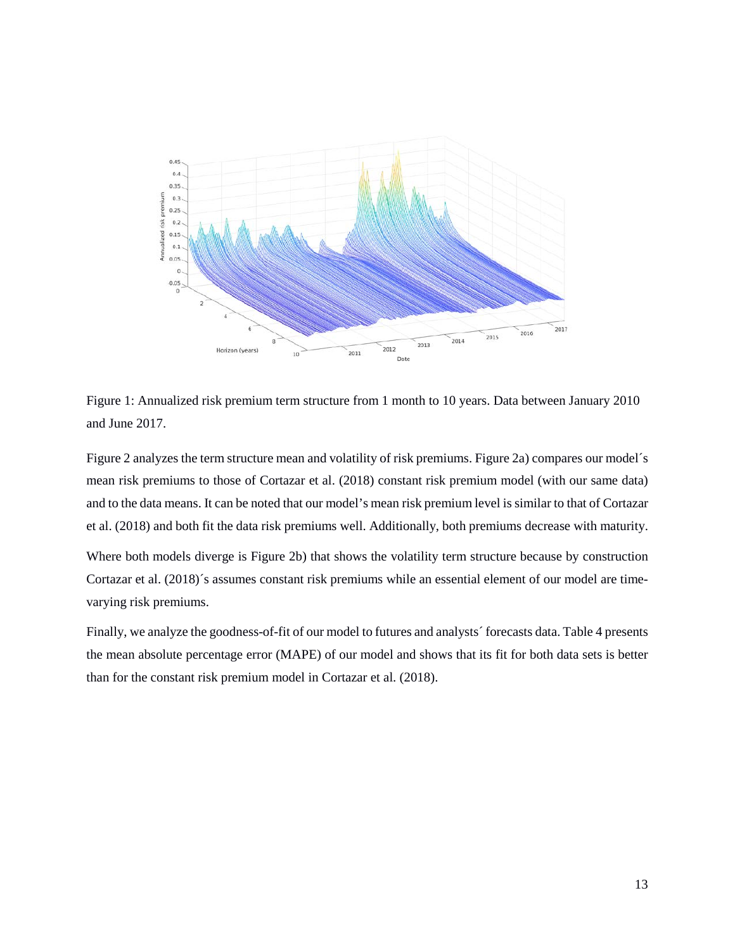

Figure 1: Annualized risk premium term structure from 1 month to 10 years. Data between January 2010 and June 2017.

Figure 2 analyzes the term structure mean and volatility of risk premiums. Figure 2a) compares our model´s mean risk premiums to those of Cortazar et al. (2018) constant risk premium model (with our same data) and to the data means. It can be noted that our model's mean risk premium level is similar to that of Cortazar et al. (2018) and both fit the data risk premiums well. Additionally, both premiums decrease with maturity.

Where both models diverge is Figure 2b) that shows the volatility term structure because by construction Cortazar et al. (2018)´s assumes constant risk premiums while an essential element of our model are timevarying risk premiums.

Finally, we analyze the goodness-of-fit of our model to futures and analysts´ forecasts data. Table 4 presents the mean absolute percentage error (MAPE) of our model and shows that its fit for both data sets is better than for the constant risk premium model in Cortazar et al. (2018).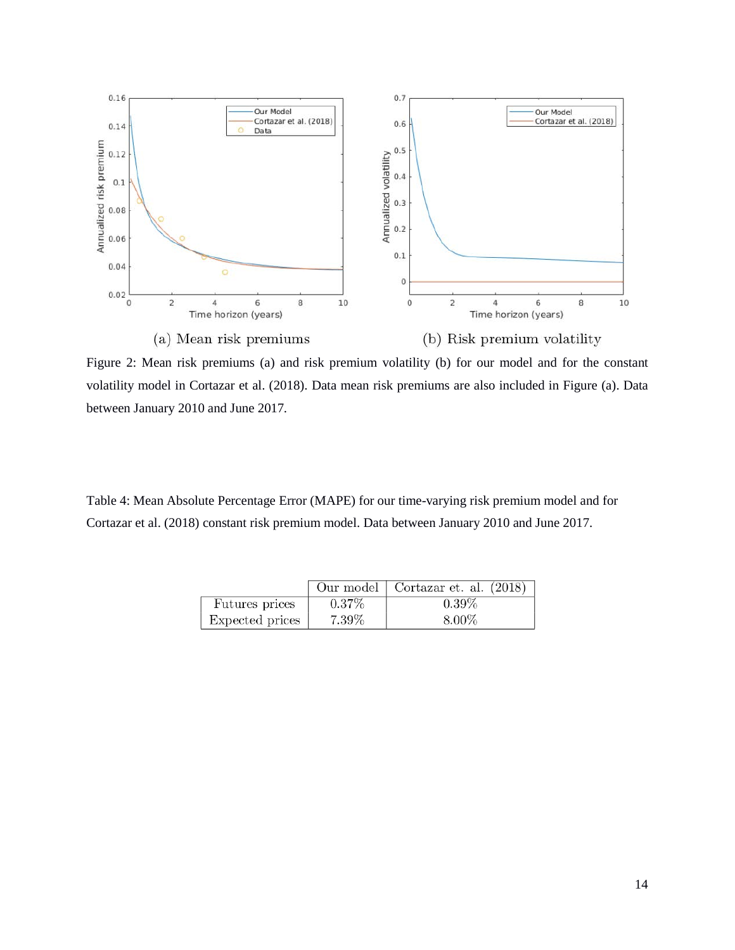

Figure 2: Mean risk premiums (a) and risk premium volatility (b) for our model and for the constant volatility model in Cortazar et al. (2018). Data mean risk premiums are also included in Figure (a). Data between January 2010 and June 2017*.*

Table 4: Mean Absolute Percentage Error (MAPE) for our time-varying risk premium model and for Cortazar et al. (2018) constant risk premium model. Data between January 2010 and June 2017.

|                 |          | Our model   Cortazar et. al. (2018) |
|-----------------|----------|-------------------------------------|
| Futures prices  | $0.37\%$ | $0.39\%$                            |
| Expected prices | $7.39\%$ | 8.00%                               |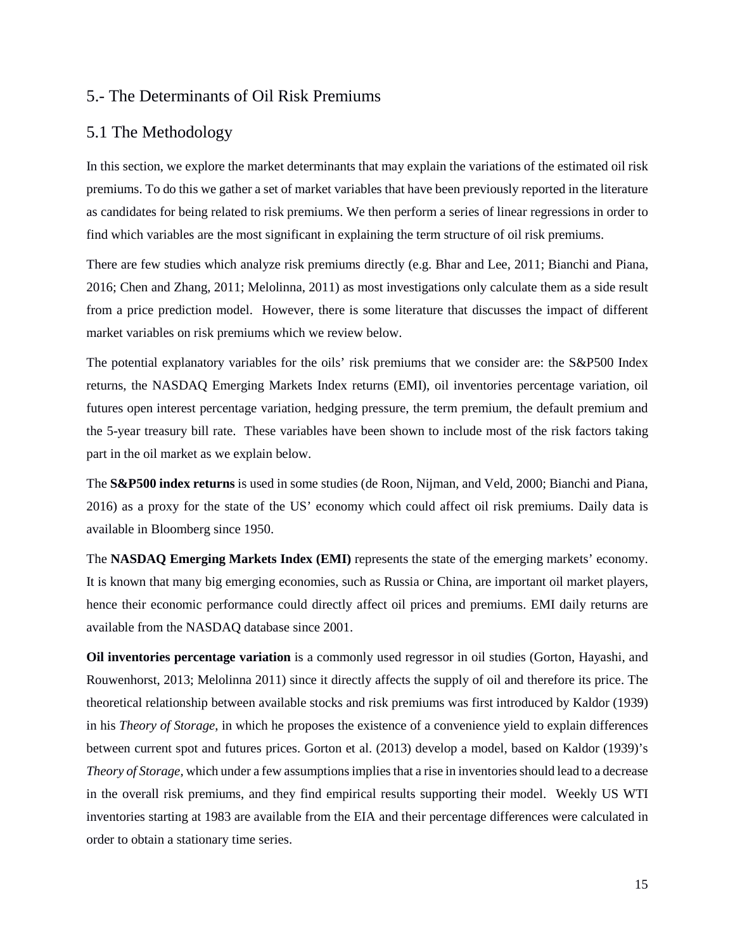#### 5.- The Determinants of Oil Risk Premiums

#### 5.1 The Methodology

In this section, we explore the market determinants that may explain the variations of the estimated oil risk premiums. To do this we gather a set of market variables that have been previously reported in the literature as candidates for being related to risk premiums. We then perform a series of linear regressions in order to find which variables are the most significant in explaining the term structure of oil risk premiums.

There are few studies which analyze risk premiums directly (e.g. Bhar and Lee, 2011; Bianchi and Piana, 2016; Chen and Zhang, 2011; Melolinna, 2011) as most investigations only calculate them as a side result from a price prediction model. However, there is some literature that discusses the impact of different market variables on risk premiums which we review below.

The potential explanatory variables for the oils' risk premiums that we consider are: the S&P500 Index returns, the NASDAQ Emerging Markets Index returns (EMI), oil inventories percentage variation, oil futures open interest percentage variation, hedging pressure, the term premium, the default premium and the 5-year treasury bill rate. These variables have been shown to include most of the risk factors taking part in the oil market as we explain below.

The **S&P500 index returns** is used in some studies (de Roon, Nijman, and Veld, 2000; Bianchi and Piana, 2016) as a proxy for the state of the US' economy which could affect oil risk premiums. Daily data is available in Bloomberg since 1950.

The **NASDAQ Emerging Markets Index (EMI)** represents the state of the emerging markets' economy. It is known that many big emerging economies, such as Russia or China, are important oil market players, hence their economic performance could directly affect oil prices and premiums. EMI daily returns are available from the NASDAQ database since 2001.

**Oil inventories percentage variation** is a commonly used regressor in oil studies (Gorton, Hayashi, and Rouwenhorst, 2013; Melolinna 2011) since it directly affects the supply of oil and therefore its price. The theoretical relationship between available stocks and risk premiums was first introduced by Kaldor (1939) in his *Theory of Storage*, in which he proposes the existence of a convenience yield to explain differences between current spot and futures prices. Gorton et al. (2013) develop a model, based on Kaldor (1939)'s *Theory of Storage,* which under a few assumptions implies that a rise in inventories should lead to a decrease in the overall risk premiums, and they find empirical results supporting their model. Weekly US WTI inventories starting at 1983 are available from the EIA and their percentage differences were calculated in order to obtain a stationary time series.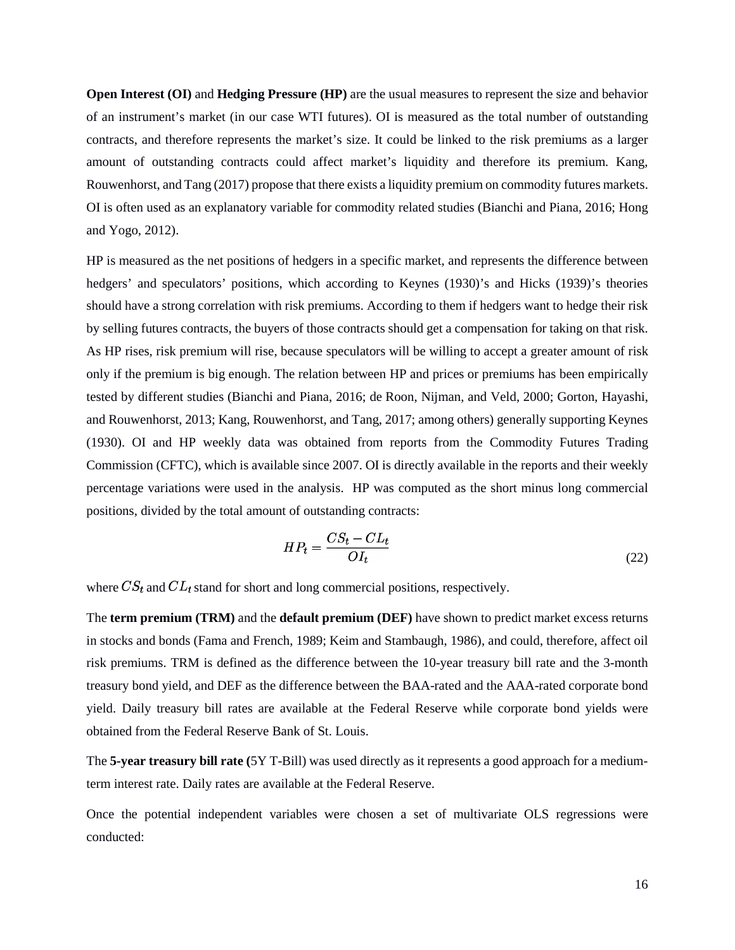**Open Interest (OI) and <b>Hedging Pressure (HP)** are the usual measures to represent the size and behavior of an instrument's market (in our case WTI futures). OI is measured as the total number of outstanding contracts, and therefore represents the market's size. It could be linked to the risk premiums as a larger amount of outstanding contracts could affect market's liquidity and therefore its premium. Kang, Rouwenhorst, and Tang (2017) propose that there exists a liquidity premium on commodity futures markets. OI is often used as an explanatory variable for commodity related studies (Bianchi and Piana, 2016; Hong and Yogo, 2012).

HP is measured as the net positions of hedgers in a specific market, and represents the difference between hedgers' and speculators' positions, which according to Keynes (1930)'s and Hicks (1939)'s theories should have a strong correlation with risk premiums. According to them if hedgers want to hedge their risk by selling futures contracts, the buyers of those contracts should get a compensation for taking on that risk. As HP rises, risk premium will rise, because speculators will be willing to accept a greater amount of risk only if the premium is big enough. The relation between HP and prices or premiums has been empirically tested by different studies (Bianchi and Piana, 2016; de Roon, Nijman, and Veld, 2000; Gorton, Hayashi, and Rouwenhorst, 2013; Kang, Rouwenhorst, and Tang, 2017; among others) generally supporting Keynes (1930). OI and HP weekly data was obtained from reports from the Commodity Futures Trading Commission (CFTC), which is available since 2007. OI is directly available in the reports and their weekly percentage variations were used in the analysis. HP was computed as the short minus long commercial positions, divided by the total amount of outstanding contracts:

$$
HP_t = \frac{CS_t - CL_t}{OI_t} \tag{22}
$$

where  $CS_t$  and  $CL_t$  stand for short and long commercial positions, respectively.

The **term premium (TRM)** and the **default premium (DEF)** have shown to predict market excess returns in stocks and bonds (Fama and French, 1989; Keim and Stambaugh, 1986), and could, therefore, affect oil risk premiums. TRM is defined as the difference between the 10-year treasury bill rate and the 3-month treasury bond yield, and DEF as the difference between the BAA-rated and the AAA-rated corporate bond yield. Daily treasury bill rates are available at the Federal Reserve while corporate bond yields were obtained from the Federal Reserve Bank of St. Louis.

The **5-year treasury bill rate (**5Y T-Bill) was used directly as it represents a good approach for a mediumterm interest rate. Daily rates are available at the Federal Reserve.

Once the potential independent variables were chosen a set of multivariate OLS regressions were conducted: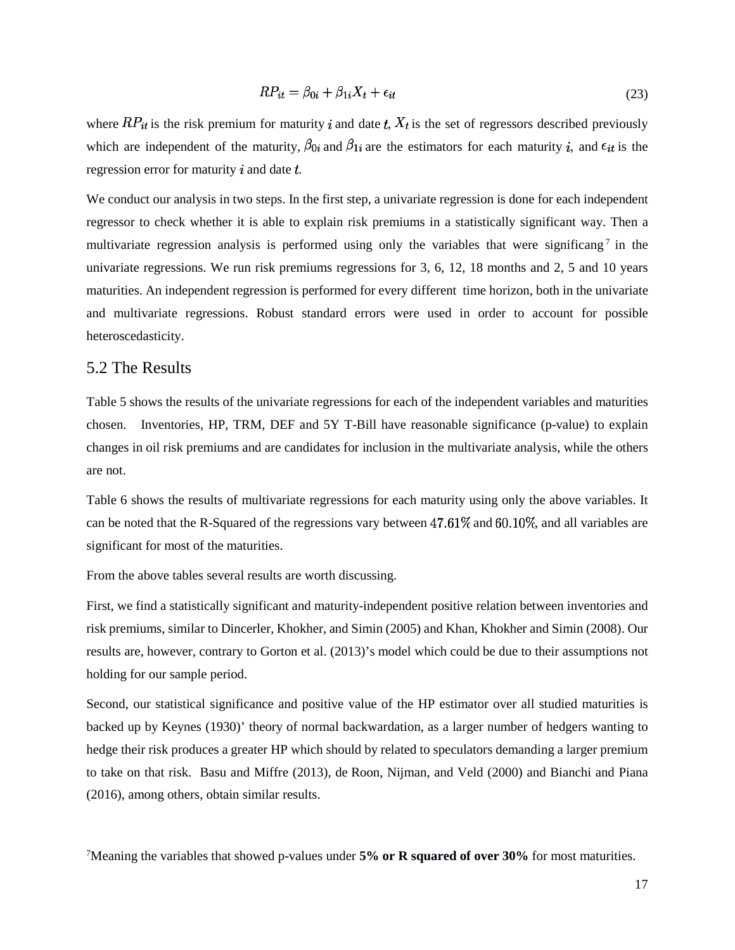$$
RP_{it} = \beta_{0i} + \beta_{1i}X_t + \epsilon_{it} \tag{23}
$$

where  $RP_{it}$  is the risk premium for maturity i and date t,  $X_t$  is the set of regressors described previously which are independent of the maturity,  $\beta_{0i}$  and  $\beta_{1i}$  are the estimators for each maturity *i*, and  $\epsilon_{it}$  is the regression error for maturity  $\dot{i}$  and date  $\dot{t}$ .

We conduct our analysis in two steps. In the first step, a univariate regression is done for each independent regressor to check whether it is able to explain risk premiums in a statistically significant way. Then a multivariate regression analysis is performed using only the variables that were significang<sup>[7](#page-16-0)</sup> in the univariate regressions. We run risk premiums regressions for 3, 6, 12, 18 months and 2, 5 and 10 years maturities. An independent regression is performed for every different time horizon, both in the univariate and multivariate regressions. Robust standard errors were used in order to account for possible heteroscedasticity.

#### 5.2 The Results

Table 5 shows the results of the univariate regressions for each of the independent variables and maturities chosen. Inventories, HP, TRM, DEF and 5Y T-Bill have reasonable significance (p-value) to explain changes in oil risk premiums and are candidates for inclusion in the multivariate analysis, while the others are not.

Table 6 shows the results of multivariate regressions for each maturity using only the above variables. It can be noted that the R-Squared of the regressions vary between  $47.61\%$  and  $60.10\%$ , and all variables are significant for most of the maturities.

From the above tables several results are worth discussing.

First, we find a statistically significant and maturity-independent positive relation between inventories and risk premiums, similar to Dincerler, Khokher, and Simin (2005) and Khan, Khokher and Simin (2008). Our results are, however, contrary to Gorton et al. (2013)'s model which could be due to their assumptions not holding for our sample period.

Second, our statistical significance and positive value of the HP estimator over all studied maturities is backed up by Keynes (1930)' theory of normal backwardation, as a larger number of hedgers wanting to hedge their risk produces a greater HP which should by related to speculators demanding a larger premium to take on that risk. Basu and Miffre (2013), de Roon, Nijman, and Veld (2000) and Bianchi and Piana (2016), among others, obtain similar results.

<span id="page-16-0"></span>7 Meaning the variables that showed p-values under **5% or R squared of over 30%** for most maturities.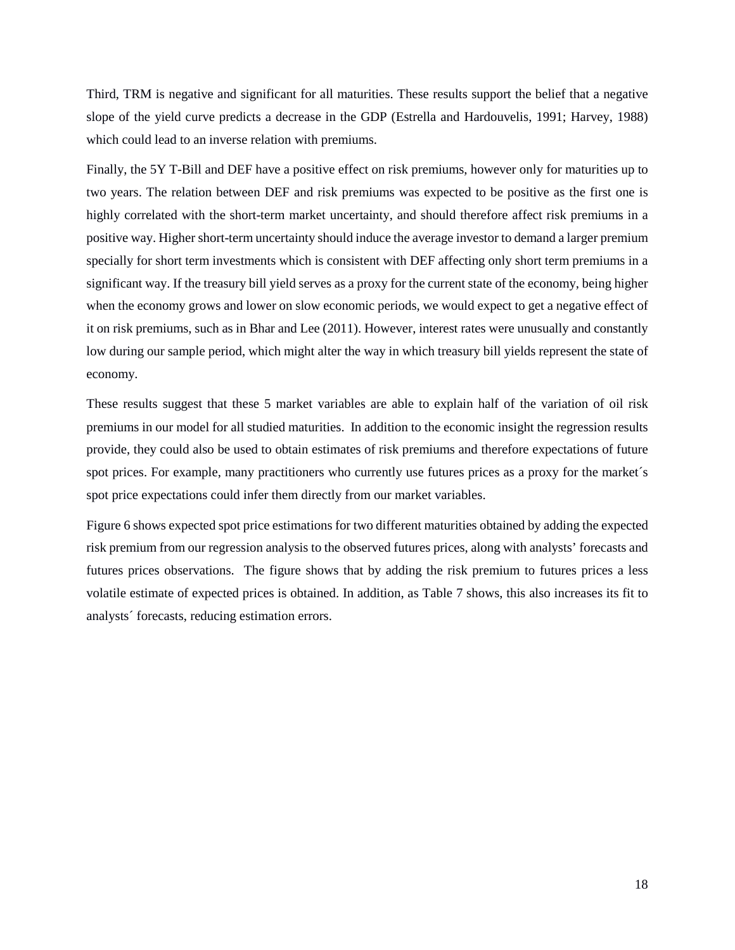Third, TRM is negative and significant for all maturities. These results support the belief that a negative slope of the yield curve predicts a decrease in the GDP (Estrella and Hardouvelis, 1991; Harvey, 1988) which could lead to an inverse relation with premiums.

Finally, the 5Y T-Bill and DEF have a positive effect on risk premiums, however only for maturities up to two years. The relation between DEF and risk premiums was expected to be positive as the first one is highly correlated with the short-term market uncertainty, and should therefore affect risk premiums in a positive way. Higher short-term uncertainty should induce the average investor to demand a larger premium specially for short term investments which is consistent with DEF affecting only short term premiums in a significant way. If the treasury bill yield serves as a proxy for the current state of the economy, being higher when the economy grows and lower on slow economic periods, we would expect to get a negative effect of it on risk premiums, such as in Bhar and Lee (2011). However, interest rates were unusually and constantly low during our sample period, which might alter the way in which treasury bill yields represent the state of economy.

These results suggest that these 5 market variables are able to explain half of the variation of oil risk premiums in our model for all studied maturities. In addition to the economic insight the regression results provide, they could also be used to obtain estimates of risk premiums and therefore expectations of future spot prices. For example, many practitioners who currently use futures prices as a proxy for the market's spot price expectations could infer them directly from our market variables.

Figure 6 shows expected spot price estimations for two different maturities obtained by adding the expected risk premium from our regression analysis to the observed futures prices, along with analysts' forecasts and futures prices observations. The figure shows that by adding the risk premium to futures prices a less volatile estimate of expected prices is obtained. In addition, as Table 7 shows, this also increases its fit to analysts´ forecasts, reducing estimation errors.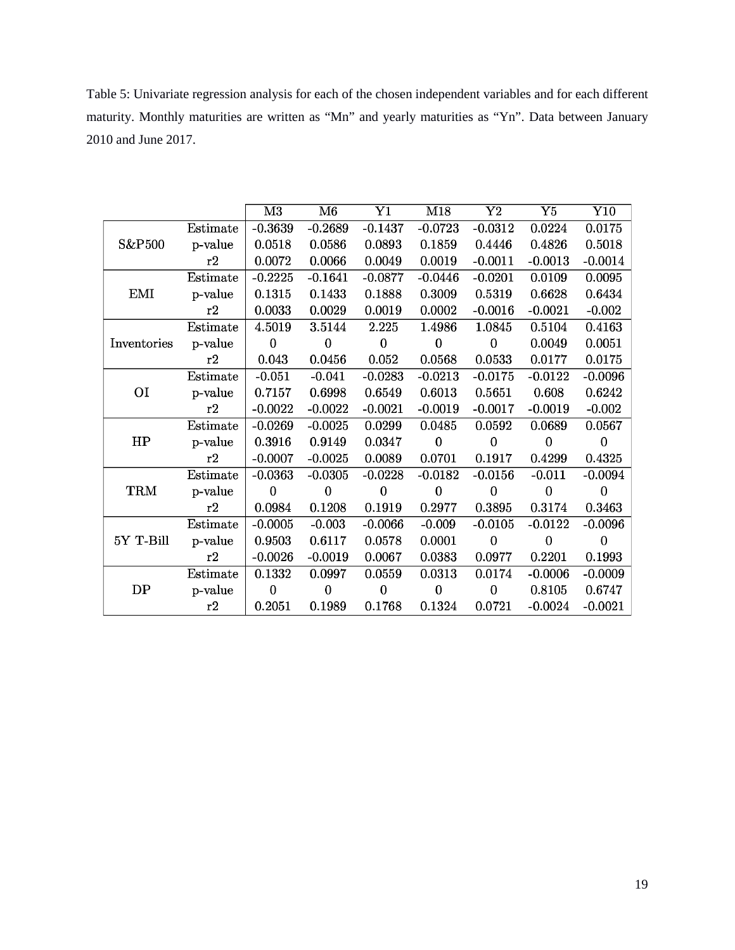Table 5: Univariate regression analysis for each of the chosen independent variables and for each different maturity. Monthly maturities are written as "Mn" and yearly maturities as "Yn". Data between January 2010 and June 2017.

|                    |          | $\overline{\text{M3}}$ | $\overline{\text{M6}}$ | $\overline{\text{Y1}}$ | M18            | $\overline{\text{Y2}}$ | $\overline{\mathrm{Y5}}$ | $\overline{\text{Y}}10$ |
|--------------------|----------|------------------------|------------------------|------------------------|----------------|------------------------|--------------------------|-------------------------|
|                    | Estimate | $-0.3639$              | $-0.2689$              | $-0.1437$              | $-0.0723$      | $-0.0312$              | 0.0224                   | 0.0175                  |
| S&P <sub>500</sub> | p-value  | 0.0518                 | 0.0586                 | 0.0893                 | 0.1859         | 0.4446                 | 0.4826                   | 0.5018                  |
|                    | r2       | 0.0072                 | 0.0066                 | 0.0049                 | 0.0019         | $-0.0011$              | $-0.0013$                | $-0.0014$               |
|                    | Estimate | $-0.2225$              | $-0.1641$              | $-0.0877$              | $-0.0446$      | $-0.0201$              | 0.0109                   | 0.0095                  |
| <b>EMI</b>         | p-value  | 0.1315                 | 0.1433                 | 0.1888                 | 0.3009         | 0.5319                 | 0.6628                   | 0.6434                  |
|                    | r2       | 0.0033                 | 0.0029                 | 0.0019                 | 0.0002         | $-0.0016$              | $-0.0021$                | $-0.002$                |
|                    | Estimate | 4.5019                 | 3.5144                 | 2.225                  | 1.4986         | 1.0845                 | 0.5104                   | 0.4163                  |
| Inventories        | p-value  | $\mathbf{0}$           | $\mathbf{0}$           | $\mathbf{0}$           | $\mathbf{0}$   | $\boldsymbol{0}$       | 0.0049                   | 0.0051                  |
|                    | r2       | 0.043                  | 0.0456                 | 0.052                  | 0.0568         | 0.0533                 | 0.0177                   | 0.0175                  |
|                    | Estimate | $-0.051$               | $-0.041$               | $-0.0283$              | $-0.0213$      | $-0.0175$              | $-0.0122$                | $-0.0096$               |
| O <sub>I</sub>     | p-value  | 0.7157                 | 0.6998                 | 0.6549                 | 0.6013         | 0.5651                 | 0.608                    | 0.6242                  |
|                    | r2       | $-0.0022$              | $-0.0022$              | $-0.0021$              | $-0.0019$      | $-0.0017$              | $-0.0019$                | $-0.002$                |
|                    | Estimate | $-0.0269$              | $-0.0025$              | 0.0299                 | 0.0485         | 0.0592                 | 0.0689                   | 0.0567                  |
| HP                 | p-value  | 0.3916                 | 0.9149                 | 0.0347                 | $\mathbf{0}$   | $\mathbf 0$            | $\overline{0}$           | $\mathbf{0}$            |
|                    | r2       | $-0.0007$              | $-0.0025$              | 0.0089                 | 0.0701         | 0.1917                 | 0.4299                   | 0.4325                  |
|                    | Estimate | $-0.0363$              | $-0.0305$              | $-0.0228$              | $-0.0182$      | $-0.0156$              | $-0.011$                 | $-0.0094$               |
| <b>TRM</b>         | p-value  | $\overline{0}$         | $\overline{0}$         | $\overline{0}$         | $\overline{0}$ | $\bf{0}$               | $\boldsymbol{0}$         | $\boldsymbol{0}$        |
|                    | r2       | 0.0984                 | 0.1208                 | 0.1919                 | 0.2977         | 0.3895                 | 0.3174                   | 0.3463                  |
|                    | Estimate | $-0.0005$              | $-0.003$               | $-0.0066$              | $-0.009$       | $-0.0105$              | $-0.0122$                | $-0.0096$               |
| 5Y T-Bill          | p-value  | 0.9503                 | 0.6117                 | 0.0578                 | 0.0001         | $\overline{0}$         | $\overline{0}$           | $\mathbf{0}$            |
|                    | r2       | $-0.0026$              | $-0.0019$              | 0.0067                 | 0.0383         | 0.0977                 | 0.2201                   | 0.1993                  |
|                    | Estimate | 0.1332                 | 0.0997                 | 0.0559                 | 0.0313         | 0.0174                 | $-0.0006$                | $-0.0009$               |
| DP                 | p-value  | $\overline{0}$         | $\overline{0}$         | $\overline{0}$         | $\mathbf 0$    | $\bf{0}$               | 0.8105                   | 0.6747                  |
|                    | r2       | 0.2051                 | 0.1989                 | 0.1768                 | 0.1324         | 0.0721                 | $-0.0024$                | $-0.0021$               |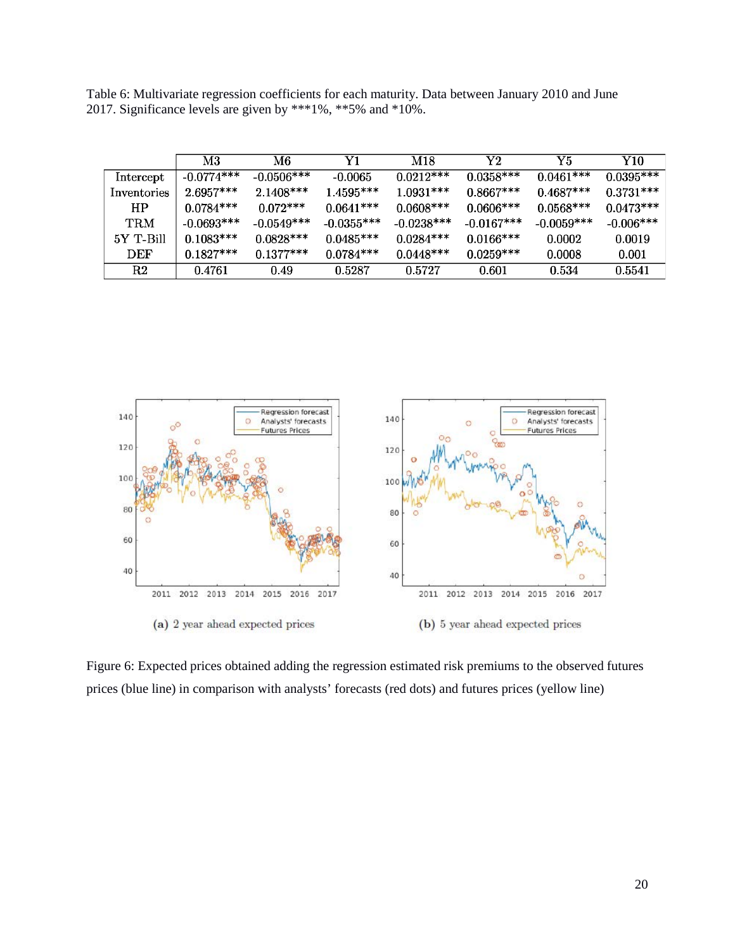Table 6: Multivariate regression coefficients for each maturity. Data between January 2010 and June 2017. Significance levels are given by \*\*\*1%, \*\*5% and \*10%.

|             | M3           | M6           | Y1           | M18          | ${\rm Y2}$   | Y5           | Y10          |
|-------------|--------------|--------------|--------------|--------------|--------------|--------------|--------------|
| Intercept   | $-0.0774***$ | $-0.0506***$ | -0.0065      | $0.0212***$  | $0.0358***$  | $0.0461***$  | $0.0395***$  |
| Inventories | $2.6957***$  | $2.1408***$  | $1.4595***$  | $1.0931***$  | $0.8667***$  | $0.4687***$  | $0.3731***$  |
| HP          | $0.0784***$  | $0.072***$   | $0.0641***$  | $0.0608***$  | $0.0606***$  | $0.0568***$  | $0.0473***$  |
| TRM         | $-0.0693***$ | $-0.0549***$ | $-0.0355***$ | $-0.0238***$ | $-0.0167***$ | $-0.0059***$ | $-0.006$ *** |
| 5Y T-Bill   | $0.1083$ *** | $0.0828***$  | $0.0485***$  | $0.0284***$  | $0.0166***$  | 0.0002       | 0.0019       |
| DEF         | $0.1827***$  | $0.1377***$  | $0.0784***$  | $0.0448***$  | $0.0259***$  | 0.0008       | 0.001        |
| R2          | 0.4761       | 0.49         | 0.5287       | 0.5727       | 0.601        | 0.534        | 0.5541       |



Figure 6: Expected prices obtained adding the regression estimated risk premiums to the observed futures prices (blue line) in comparison with analysts' forecasts (red dots) and futures prices (yellow line)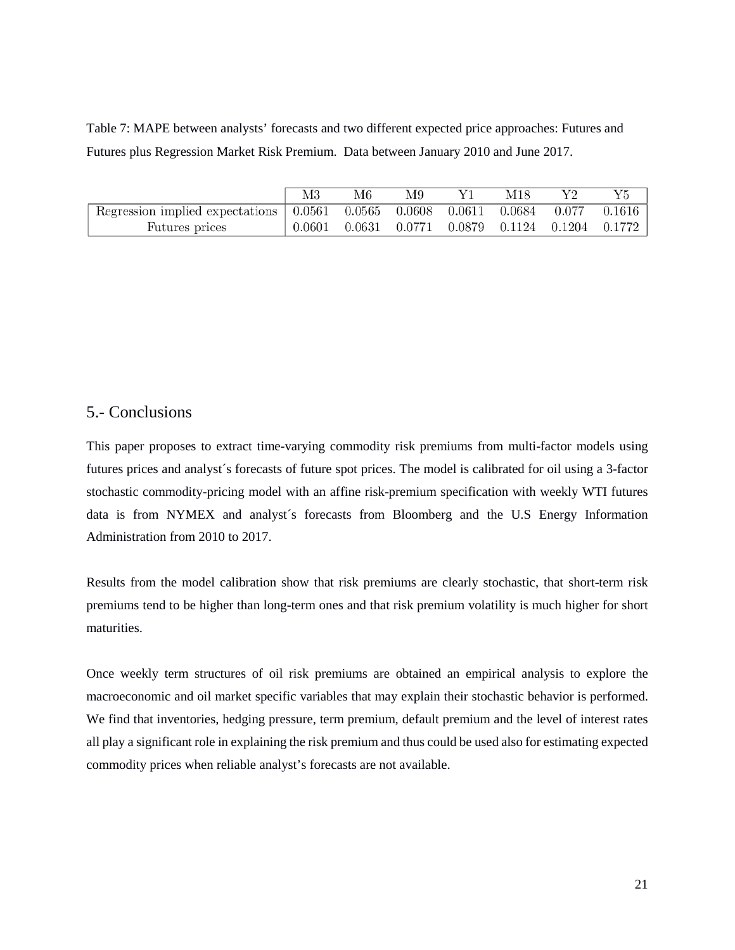Table 7: MAPE between analysts' forecasts and two different expected price approaches: Futures and Futures plus Regression Market Risk Premium. Data between January 2010 and June 2017.

|                                                                                                                                   | M3 | M6 | M9                                                             | M18 | V9 |  |
|-----------------------------------------------------------------------------------------------------------------------------------|----|----|----------------------------------------------------------------|-----|----|--|
| Regression implied expectations $\vert 0.0561 \quad 0.0565 \quad 0.0608 \quad 0.0611 \quad 0.0684 \quad 0.077 \quad 0.1616 \vert$ |    |    |                                                                |     |    |  |
| Futures prices                                                                                                                    |    |    | $0.0601$ $0.0631$ $0.0771$ $0.0879$ $0.1124$ $0.1204$ $0.1772$ |     |    |  |

### 5.- Conclusions

This paper proposes to extract time-varying commodity risk premiums from multi-factor models using futures prices and analyst´s forecasts of future spot prices. The model is calibrated for oil using a 3-factor stochastic commodity-pricing model with an affine risk-premium specification with weekly WTI futures data is from NYMEX and analyst´s forecasts from Bloomberg and the U.S Energy Information Administration from 2010 to 2017.

Results from the model calibration show that risk premiums are clearly stochastic, that short-term risk premiums tend to be higher than long-term ones and that risk premium volatility is much higher for short maturities.

Once weekly term structures of oil risk premiums are obtained an empirical analysis to explore the macroeconomic and oil market specific variables that may explain their stochastic behavior is performed. We find that inventories, hedging pressure, term premium, default premium and the level of interest rates all play a significant role in explaining the risk premium and thus could be used also for estimating expected commodity prices when reliable analyst's forecasts are not available.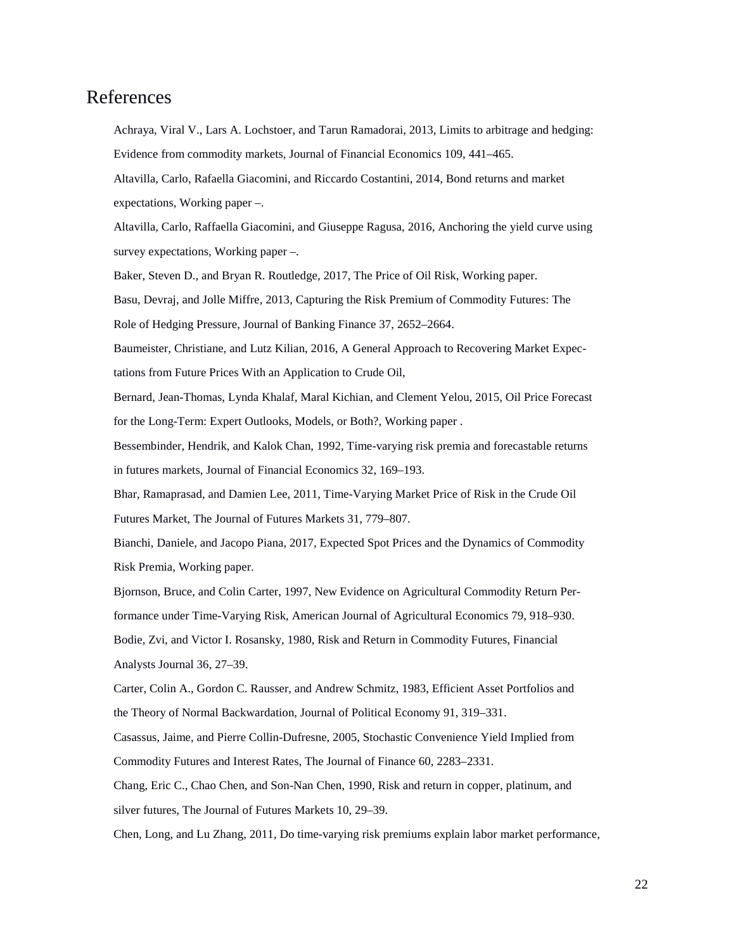# References

Achraya, Viral V., Lars A. Lochstoer, and Tarun Ramadorai, 2013, Limits to arbitrage and hedging: Evidence from commodity markets, Journal of Financial Economics 109, 441–465.

Altavilla, Carlo, Rafaella Giacomini, and Riccardo Costantini, 2014, Bond returns and market expectations, Working paper –.

Altavilla, Carlo, Raffaella Giacomini, and Giuseppe Ragusa, 2016, Anchoring the yield curve using survey expectations, Working paper –.

Baker, Steven D., and Bryan R. Routledge, 2017, The Price of Oil Risk, Working paper.

Basu, Devraj, and Jolle Miffre, 2013, Capturing the Risk Premium of Commodity Futures: The Role of Hedging Pressure, Journal of Banking Finance 37, 2652–2664.

Baumeister, Christiane, and Lutz Kilian, 2016, A General Approach to Recovering Market Expectations from Future Prices With an Application to Crude Oil,

Bernard, Jean-Thomas, Lynda Khalaf, Maral Kichian, and Clement Yelou, 2015, Oil Price Forecast for the Long-Term: Expert Outlooks, Models, or Both?, Working paper .

Bessembinder, Hendrik, and Kalok Chan, 1992, Time-varying risk premia and forecastable returns in futures markets, Journal of Financial Economics 32, 169–193.

Bhar, Ramaprasad, and Damien Lee, 2011, Time-Varying Market Price of Risk in the Crude Oil Futures Market, The Journal of Futures Markets 31, 779–807.

Bianchi, Daniele, and Jacopo Piana, 2017, Expected Spot Prices and the Dynamics of Commodity Risk Premia, Working paper.

Bjornson, Bruce, and Colin Carter, 1997, New Evidence on Agricultural Commodity Return Performance under Time-Varying Risk, American Journal of Agricultural Economics 79, 918–930. Bodie, Zvi, and Victor I. Rosansky, 1980, Risk and Return in Commodity Futures, Financial Analysts Journal 36, 27–39.

Carter, Colin A., Gordon C. Rausser, and Andrew Schmitz, 1983, Efficient Asset Portfolios and the Theory of Normal Backwardation, Journal of Political Economy 91, 319–331.

Casassus, Jaime, and Pierre Collin-Dufresne, 2005, Stochastic Convenience Yield Implied from Commodity Futures and Interest Rates, The Journal of Finance 60, 2283–2331.

Chang, Eric C., Chao Chen, and Son-Nan Chen, 1990, Risk and return in copper, platinum, and silver futures, The Journal of Futures Markets 10, 29–39.

Chen, Long, and Lu Zhang, 2011, Do time-varying risk premiums explain labor market performance,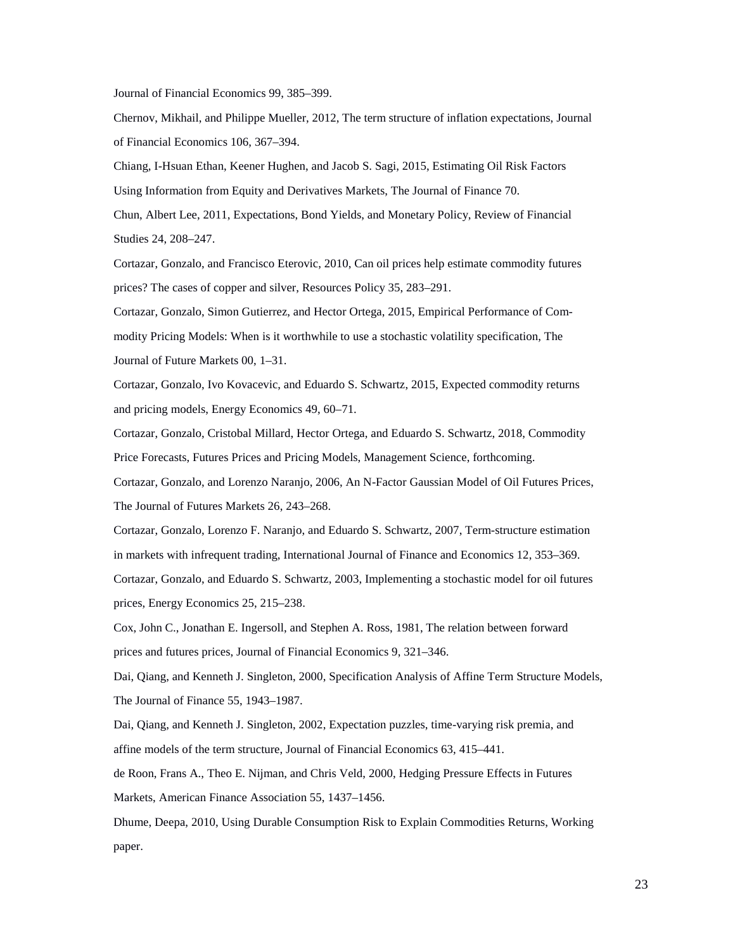Journal of Financial Economics 99, 385–399.

Chernov, Mikhail, and Philippe Mueller, 2012, The term structure of inflation expectations, Journal of Financial Economics 106, 367–394.

Chiang, I-Hsuan Ethan, Keener Hughen, and Jacob S. Sagi, 2015, Estimating Oil Risk Factors Using Information from Equity and Derivatives Markets, The Journal of Finance 70. Chun, Albert Lee, 2011, Expectations, Bond Yields, and Monetary Policy, Review of Financial

Studies 24, 208–247.

Cortazar, Gonzalo, and Francisco Eterovic, 2010, Can oil prices help estimate commodity futures prices? The cases of copper and silver, Resources Policy 35, 283–291.

Cortazar, Gonzalo, Simon Gutierrez, and Hector Ortega, 2015, Empirical Performance of Commodity Pricing Models: When is it worthwhile to use a stochastic volatility specification, The Journal of Future Markets 00, 1–31.

Cortazar, Gonzalo, Ivo Kovacevic, and Eduardo S. Schwartz, 2015, Expected commodity returns and pricing models, Energy Economics 49, 60–71.

Cortazar, Gonzalo, Cristobal Millard, Hector Ortega, and Eduardo S. Schwartz, 2018, Commodity Price Forecasts, Futures Prices and Pricing Models, Management Science, forthcoming.

Cortazar, Gonzalo, and Lorenzo Naranjo, 2006, An N-Factor Gaussian Model of Oil Futures Prices, The Journal of Futures Markets 26, 243–268.

Cortazar, Gonzalo, Lorenzo F. Naranjo, and Eduardo S. Schwartz, 2007, Term-structure estimation in markets with infrequent trading, International Journal of Finance and Economics 12, 353–369. Cortazar, Gonzalo, and Eduardo S. Schwartz, 2003, Implementing a stochastic model for oil futures prices, Energy Economics 25, 215–238.

Cox, John C., Jonathan E. Ingersoll, and Stephen A. Ross, 1981, The relation between forward prices and futures prices, Journal of Financial Economics 9, 321–346.

Dai, Qiang, and Kenneth J. Singleton, 2000, Specification Analysis of Affine Term Structure Models, The Journal of Finance 55, 1943–1987.

Dai, Qiang, and Kenneth J. Singleton, 2002, Expectation puzzles, time-varying risk premia, and affine models of the term structure, Journal of Financial Economics 63, 415–441.

de Roon, Frans A., Theo E. Nijman, and Chris Veld, 2000, Hedging Pressure Effects in Futures Markets, American Finance Association 55, 1437–1456.

Dhume, Deepa, 2010, Using Durable Consumption Risk to Explain Commodities Returns, Working paper.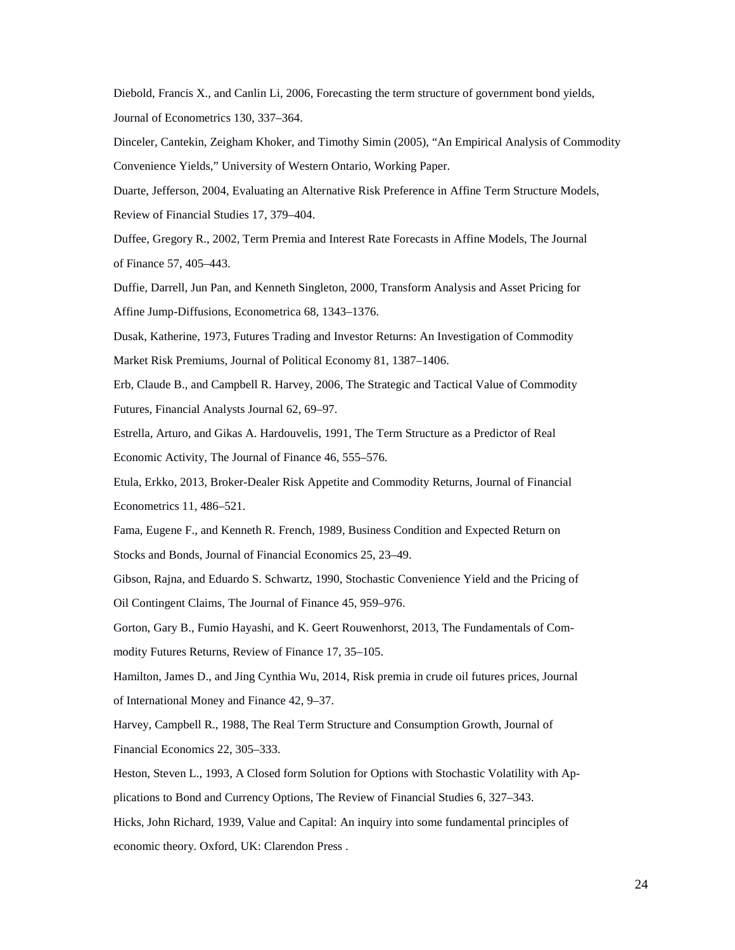Diebold, Francis X., and Canlin Li, 2006, Forecasting the term structure of government bond yields, Journal of Econometrics 130, 337–364.

Dinceler, Cantekin, Zeigham Khoker, and Timothy Simin (2005), "An Empirical Analysis of Commodity Convenience Yields," University of Western Ontario, Working Paper.

Duarte, Jefferson, 2004, Evaluating an Alternative Risk Preference in Affine Term Structure Models, Review of Financial Studies 17, 379–404.

Duffee, Gregory R., 2002, Term Premia and Interest Rate Forecasts in Affine Models, The Journal of Finance 57, 405–443.

Duffie, Darrell, Jun Pan, and Kenneth Singleton, 2000, Transform Analysis and Asset Pricing for Affine Jump-Diffusions, Econometrica 68, 1343–1376.

Dusak, Katherine, 1973, Futures Trading and Investor Returns: An Investigation of Commodity Market Risk Premiums, Journal of Political Economy 81, 1387–1406.

Erb, Claude B., and Campbell R. Harvey, 2006, The Strategic and Tactical Value of Commodity Futures, Financial Analysts Journal 62, 69–97.

Estrella, Arturo, and Gikas A. Hardouvelis, 1991, The Term Structure as a Predictor of Real Economic Activity, The Journal of Finance 46, 555–576.

Etula, Erkko, 2013, Broker-Dealer Risk Appetite and Commodity Returns, Journal of Financial Econometrics 11, 486–521.

Fama, Eugene F., and Kenneth R. French, 1989, Business Condition and Expected Return on Stocks and Bonds, Journal of Financial Economics 25, 23–49.

Gibson, Rajna, and Eduardo S. Schwartz, 1990, Stochastic Convenience Yield and the Pricing of Oil Contingent Claims, The Journal of Finance 45, 959–976.

Gorton, Gary B., Fumio Hayashi, and K. Geert Rouwenhorst, 2013, The Fundamentals of Commodity Futures Returns, Review of Finance 17, 35–105.

Hamilton, James D., and Jing Cynthia Wu, 2014, Risk premia in crude oil futures prices, Journal of International Money and Finance 42, 9–37.

Harvey, Campbell R., 1988, The Real Term Structure and Consumption Growth, Journal of Financial Economics 22, 305–333.

Heston, Steven L., 1993, A Closed form Solution for Options with Stochastic Volatility with Applications to Bond and Currency Options, The Review of Financial Studies 6, 327–343.

Hicks, John Richard, 1939, Value and Capital: An inquiry into some fundamental principles of economic theory. Oxford, UK: Clarendon Press .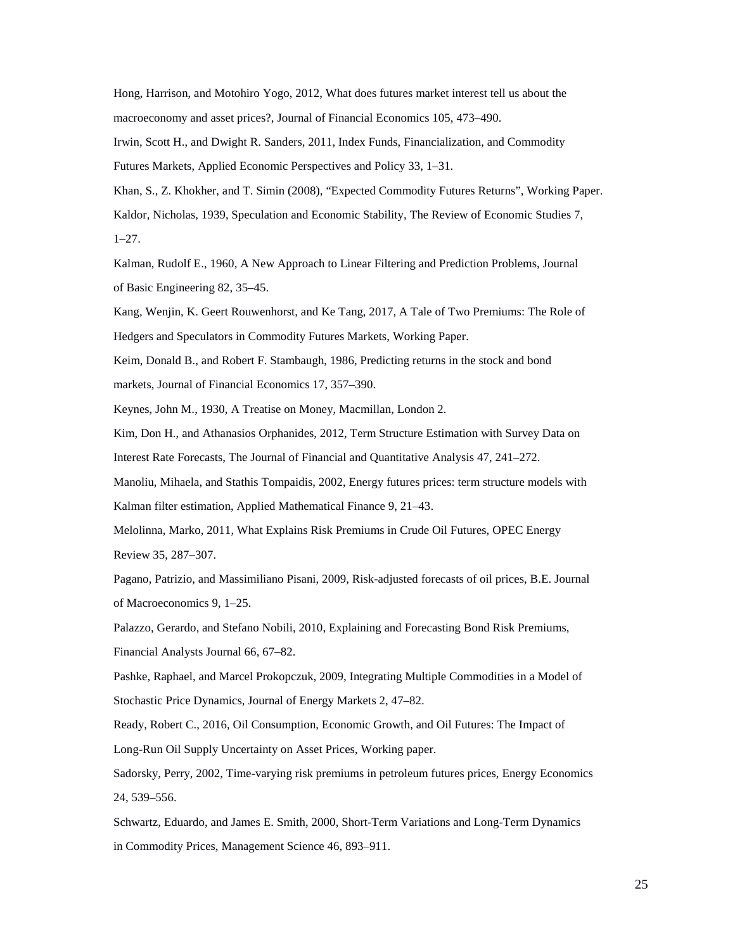Hong, Harrison, and Motohiro Yogo, 2012, What does futures market interest tell us about the macroeconomy and asset prices?, Journal of Financial Economics 105, 473–490.

Irwin, Scott H., and Dwight R. Sanders, 2011, Index Funds, Financialization, and Commodity Futures Markets, Applied Economic Perspectives and Policy 33, 1–31.

Khan, S., Z. Khokher, and T. Simin (2008), "Expected Commodity Futures Returns", Working Paper. Kaldor, Nicholas, 1939, Speculation and Economic Stability, The Review of Economic Studies 7, 1–27.

Kalman, Rudolf E., 1960, A New Approach to Linear Filtering and Prediction Problems, Journal of Basic Engineering 82, 35–45.

Kang, Wenjin, K. Geert Rouwenhorst, and Ke Tang, 2017, A Tale of Two Premiums: The Role of Hedgers and Speculators in Commodity Futures Markets, Working Paper.

Keim, Donald B., and Robert F. Stambaugh, 1986, Predicting returns in the stock and bond markets, Journal of Financial Economics 17, 357–390.

Keynes, John M., 1930, A Treatise on Money, Macmillan, London 2.

Kim, Don H., and Athanasios Orphanides, 2012, Term Structure Estimation with Survey Data on Interest Rate Forecasts, The Journal of Financial and Quantitative Analysis 47, 241–272.

Manoliu, Mihaela, and Stathis Tompaidis, 2002, Energy futures prices: term structure models with Kalman filter estimation, Applied Mathematical Finance 9, 21–43.

Melolinna, Marko, 2011, What Explains Risk Premiums in Crude Oil Futures, OPEC Energy Review 35, 287–307.

Pagano, Patrizio, and Massimiliano Pisani, 2009, Risk-adjusted forecasts of oil prices, B.E. Journal of Macroeconomics 9, 1–25.

Palazzo, Gerardo, and Stefano Nobili, 2010, Explaining and Forecasting Bond Risk Premiums, Financial Analysts Journal 66, 67–82.

Pashke, Raphael, and Marcel Prokopczuk, 2009, Integrating Multiple Commodities in a Model of Stochastic Price Dynamics, Journal of Energy Markets 2, 47–82.

Ready, Robert C., 2016, Oil Consumption, Economic Growth, and Oil Futures: The Impact of

Long-Run Oil Supply Uncertainty on Asset Prices, Working paper.

Sadorsky, Perry, 2002, Time-varying risk premiums in petroleum futures prices, Energy Economics 24, 539–556.

Schwartz, Eduardo, and James E. Smith, 2000, Short-Term Variations and Long-Term Dynamics in Commodity Prices, Management Science 46, 893–911.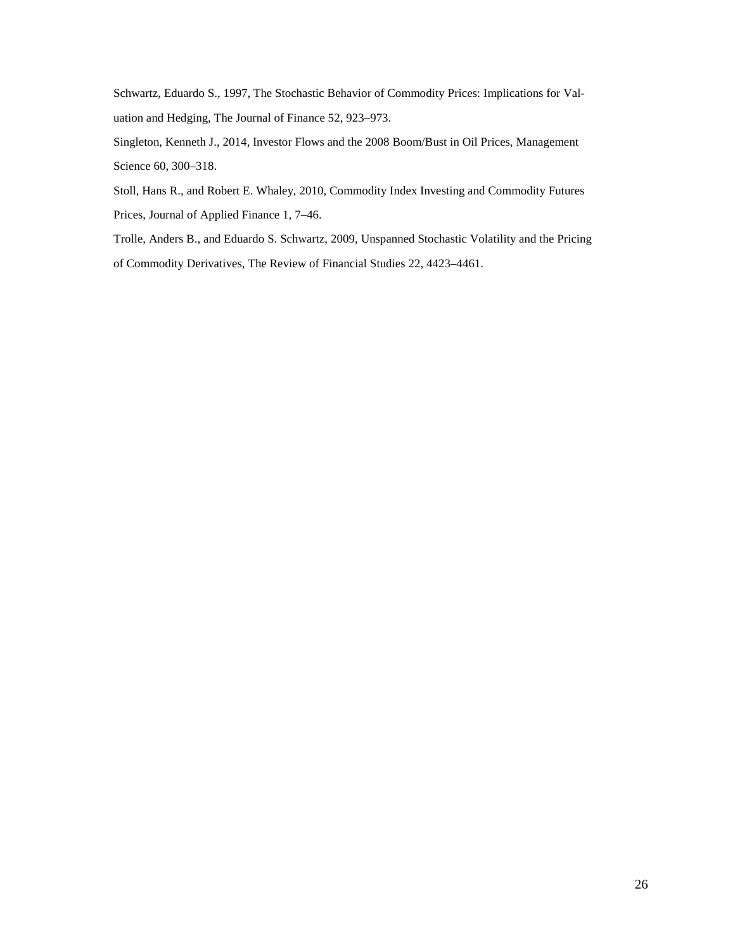Schwartz, Eduardo S., 1997, The Stochastic Behavior of Commodity Prices: Implications for Valuation and Hedging, The Journal of Finance 52, 923–973.

Singleton, Kenneth J., 2014, Investor Flows and the 2008 Boom/Bust in Oil Prices, Management Science 60, 300–318.

Stoll, Hans R., and Robert E. Whaley, 2010, Commodity Index Investing and Commodity Futures Prices, Journal of Applied Finance 1, 7–46.

Trolle, Anders B., and Eduardo S. Schwartz, 2009, Unspanned Stochastic Volatility and the Pricing of Commodity Derivatives, The Review of Financial Studies 22, 4423–4461.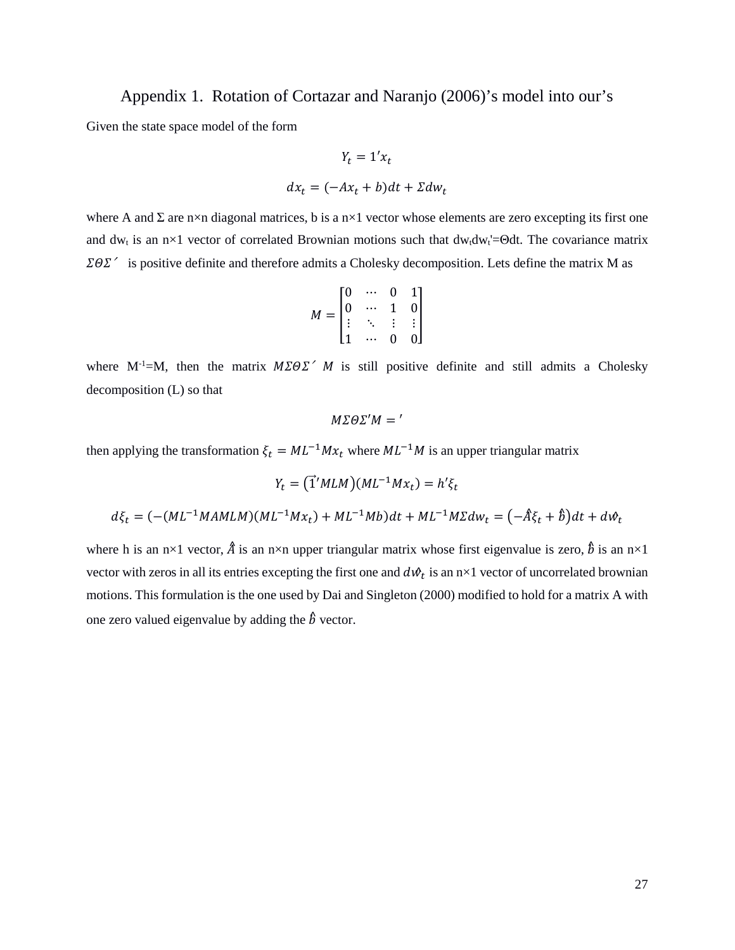Appendix 1. Rotation of Cortazar and Naranjo (2006)'s model into our's

Given the state space model of the form

$$
Y_t = 1'x_t
$$

$$
dx_t = (-Ax_t + b)dt + \Sigma dw_t
$$

where A and  $\Sigma$  are n×n diagonal matrices, b is a n×1 vector whose elements are zero excepting its first one and dw<sub>t</sub> is an n×1 vector of correlated Brownian motions such that dw<sub>t</sub>dw<sub>t</sub>=Θdt. The covariance matrix  $\Sigma \Theta \Sigma'$  is positive definite and therefore admits a Cholesky decomposition. Lets define the matrix M as

$$
M = \begin{bmatrix} 0 & \cdots & 0 & 1 \\ 0 & \cdots & 1 & 0 \\ \vdots & \ddots & \vdots & \vdots \\ 1 & \cdots & 0 & 0 \end{bmatrix}
$$

where  $M^{-1}=M$ , then the matrix  $M\Sigma \Theta \Sigma' M$  is still positive definite and still admits a Cholesky decomposition (L) so that

$$
M\Sigma\Theta\Sigma'M='
$$

then applying the transformation  $\xi_t = ML^{-1}Mx_t$  where  $ML^{-1}M$  is an upper triangular matrix

$$
Y_t = (\vec{\mathbf{1}}' M L M)(ML^{-1} M x_t) = h' \xi_t
$$
  

$$
d\xi_t = (-(ML^{-1} M A M L M)(ML^{-1} M x_t) + ML^{-1} M b) dt + ML^{-1} M \Sigma dw_t = (-\hat{A} \xi_t + \hat{b}) dt + dW_t
$$

where h is an n×1 vector,  $\hat{A}$  is an n×n upper triangular matrix whose first eigenvalue is zero,  $\hat{b}$  is an n×1 vector with zeros in all its entries excepting the first one and  $d\mathcal{W}_t$  is an n×1 vector of uncorrelated brownian motions. This formulation is the one used by Dai and Singleton (2000) modified to hold for a matrix A with one zero valued eigenvalue by adding the  $\hat{b}$  vector.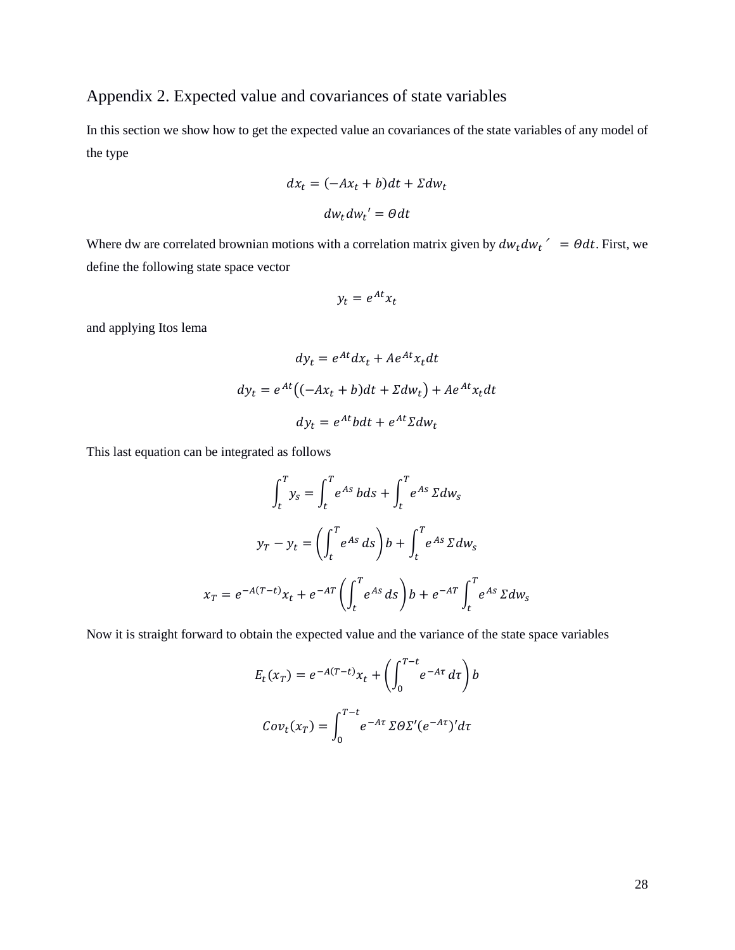# Appendix 2. Expected value and covariances of state variables

In this section we show how to get the expected value an covariances of the state variables of any model of the type

$$
dx_t = (-Ax_t + b)dt + \Sigma dw_t
$$

$$
dw_t dw_t' = \Theta dt
$$

Where dw are correlated brownian motions with a correlation matrix given by  $dw_t dw_t' = \theta dt$ . First, we define the following state space vector

$$
y_t = e^{At} x_t
$$

and applying Itos lema

$$
dy_t = e^{At} dx_t + Ae^{At}x_t dt
$$

$$
dy_t = e^{At} \left( (-Ax_t + b)dt + \Sigma dw_t \right) + Ae^{At}x_t dt
$$

$$
dy_t = e^{At} bdt + e^{At} \Sigma dw_t
$$

This last equation can be integrated as follows

$$
\int_{t}^{T} y_{s} = \int_{t}^{T} e^{As} b ds + \int_{t}^{T} e^{As} \Sigma dw_{s}
$$

$$
y_{T} - y_{t} = \left(\int_{t}^{T} e^{As} ds\right) b + \int_{t}^{T} e^{As} \Sigma dw_{s}
$$

$$
x_{T} = e^{-A(T-t)} x_{t} + e^{-AT} \left(\int_{t}^{T} e^{As} ds\right) b + e^{-AT} \int_{t}^{T} e^{As} \Sigma dw_{s}
$$

Now it is straight forward to obtain the expected value and the variance of the state space variables

$$
E_t(x_T) = e^{-A(T-t)}x_t + \left(\int_0^{T-t} e^{-A\tau} d\tau\right) b
$$

$$
Cov_t(x_T) = \int_0^{T-t} e^{-A\tau} \Sigma \Theta \Sigma'(e^{-A\tau})' d\tau
$$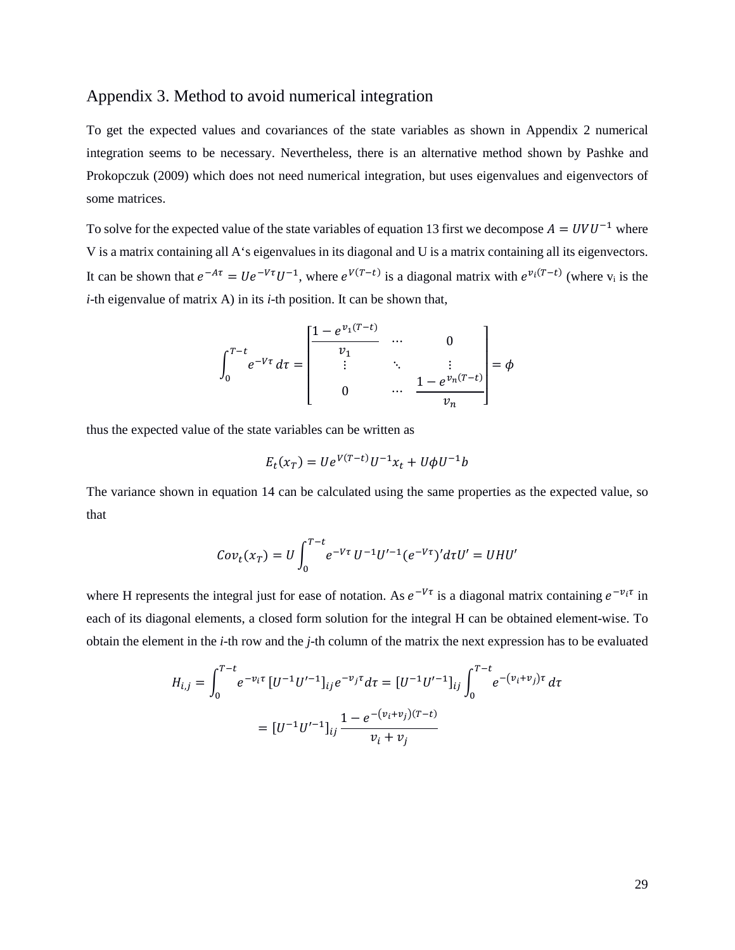## Appendix 3. Method to avoid numerical integration

To get the expected values and covariances of the state variables as shown in Appendix 2 numerical integration seems to be necessary. Nevertheless, there is an alternative method shown by Pashke and Prokopczuk (2009) which does not need numerical integration, but uses eigenvalues and eigenvectors of some matrices.

To solve for the expected value of the state variables of equatio[n 13](#page-7-0) first we decompose  $A = UVU^{-1}$  where V is a matrix containing all A's eigenvalues in its diagonal and U is a matrix containing all its eigenvectors. It can be shown that  $e^{-A\tau} = Ue^{-V\tau}U^{-1}$ , where  $e^{V(T-t)}$  is a diagonal matrix with  $e^{v_i(T-t)}$  (where  $v_i$  is the *i*-th eigenvalue of matrix A) in its *i*-th position. It can be shown that,

$$
\int_0^{T-t} e^{-V\tau} d\tau = \begin{bmatrix} \frac{1 - e^{v_1(T-t)}}{v_1} & \cdots & 0 \\ \vdots & \ddots & \vdots \\ 0 & \cdots & \frac{1 - e^{v_n(T-t)}}{v_n} \end{bmatrix} = \phi
$$

thus the expected value of the state variables can be written as

$$
E_t(x_T) = U e^{V(T-t)} U^{-1} x_t + U \phi U^{-1} b
$$

The variance shown in equation [14](#page-7-1) can be calculated using the same properties as the expected value, so that

$$
Cov_t(x_T) = U \int_0^{T-t} e^{-V\tau} U^{-1} U'^{-1} (e^{-V\tau})' d\tau U' = UHU'
$$

where H represents the integral just for ease of notation. As  $e^{-V\tau}$  is a diagonal matrix containing  $e^{-v_i\tau}$  in each of its diagonal elements, a closed form solution for the integral H can be obtained element-wise. To obtain the element in the *i*-th row and the *j*-th column of the matrix the next expression has to be evaluated

$$
H_{i,j} = \int_0^{T-t} e^{-v_i \tau} \left[ U^{-1} U'^{-1} \right]_{ij} e^{-v_j \tau} d\tau = \left[ U^{-1} U'^{-1} \right]_{ij} \int_0^{T-t} e^{-(v_i + v_j) \tau} d\tau
$$

$$
= \left[ U^{-1} U'^{-1} \right]_{ij} \frac{1 - e^{-(v_i + v_j)(T-t)}}{v_i + v_j}
$$